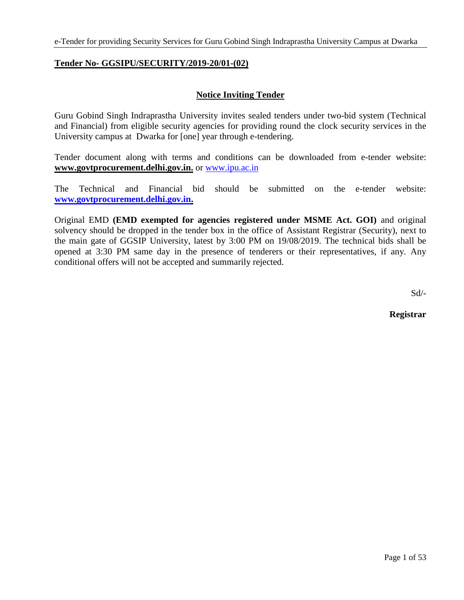### **Tender No- GGSIPU/SECURITY/2019-20/01-(02)**

### **Notice Inviting Tender**

Guru Gobind Singh Indraprastha University invites sealed tenders under two-bid system (Technical and Financial) from eligible security agencies for providing round the clock security services in the University campus at Dwarka for [one] year through e-tendering.

Tender document along with terms and conditions can be downloaded from e-tender website: **www.govtprocurement.delhi.gov.in.** or [www.ipu.ac.in](http://www.ipu.ac.in/)

The Technical and Financial bid should be submitted on the e-tender website: **[www.govtprocurement.delhi.gov.in.](http://www.govtprocurement.delhi.gov.in/)** 

Original EMD **(EMD exempted for agencies registered under MSME Act. GOI)** and original solvency should be dropped in the tender box in the office of Assistant Registrar (Security), next to the main gate of GGSIP University, latest by 3:00 PM on 19/08/2019. The technical bids shall be opened at 3:30 PM same day in the presence of tenderers or their representatives, if any. Any conditional offers will not be accepted and summarily rejected.

Sd/-

**Registrar**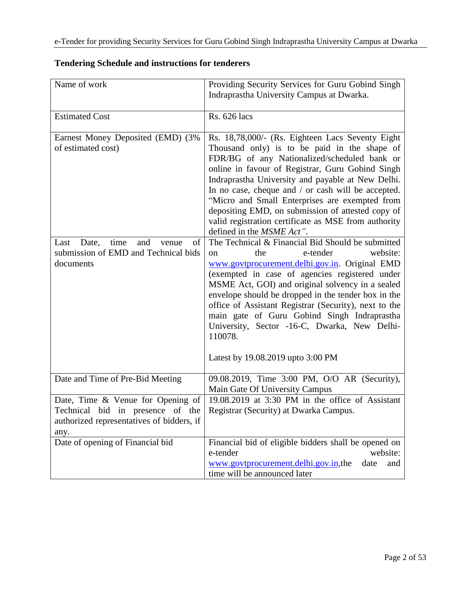| Name of work                                                                                                               | Providing Security Services for Guru Gobind Singh<br>Indraprastha University Campus at Dwarka.                                                                                                                                                                                                                                                                                                                                                                                                                           |
|----------------------------------------------------------------------------------------------------------------------------|--------------------------------------------------------------------------------------------------------------------------------------------------------------------------------------------------------------------------------------------------------------------------------------------------------------------------------------------------------------------------------------------------------------------------------------------------------------------------------------------------------------------------|
|                                                                                                                            |                                                                                                                                                                                                                                                                                                                                                                                                                                                                                                                          |
| <b>Estimated Cost</b>                                                                                                      | <b>Rs.</b> 626 lacs                                                                                                                                                                                                                                                                                                                                                                                                                                                                                                      |
| Earnest Money Deposited (EMD) (3%<br>of estimated cost)                                                                    | Rs. 18,78,000/- (Rs. Eighteen Lacs Seventy Eight)<br>Thousand only) is to be paid in the shape of<br>FDR/BG of any Nationalized/scheduled bank or<br>online in favour of Registrar, Guru Gobind Singh<br>Indraprastha University and payable at New Delhi.<br>In no case, cheque and / or cash will be accepted.<br>"Micro and Small Enterprises are exempted from<br>depositing EMD, on submission of attested copy of<br>valid registration certificate as MSE from authority<br>defined in the MSME Act".             |
| Last<br>time<br>and<br>Date,<br>venue<br>οf<br>submission of EMD and Technical bids<br>documents                           | The Technical & Financial Bid Should be submitted<br>website:<br>the<br>e-tender<br><sub>on</sub><br>www.govtprocurement.delhi.gov.in. Original EMD<br>(exempted in case of agencies registered under<br>MSME Act, GOI) and original solvency in a sealed<br>envelope should be dropped in the tender box in the<br>office of Assistant Registrar (Security), next to the<br>main gate of Guru Gobind Singh Indraprastha<br>University, Sector -16-C, Dwarka, New Delhi-<br>110078.<br>Latest by 19.08.2019 upto 3:00 PM |
| Date and Time of Pre-Bid Meeting                                                                                           | 09.08.2019, Time 3:00 PM, O/O AR (Security),<br>Main Gate Of University Campus                                                                                                                                                                                                                                                                                                                                                                                                                                           |
| Date, Time & Venue for Opening of<br>Technical bid in presence of the<br>authorized representatives of bidders, if<br>any. | 19.08.2019 at 3:30 PM in the office of Assistant<br>Registrar (Security) at Dwarka Campus.                                                                                                                                                                                                                                                                                                                                                                                                                               |
| Date of opening of Financial bid                                                                                           | Financial bid of eligible bidders shall be opened on<br>e-tender<br>website:<br>www.govtprocurement.delhi.gov.in,the<br>date<br>and<br>time will be announced later                                                                                                                                                                                                                                                                                                                                                      |

# **Tendering Schedule and instructions for tenderers**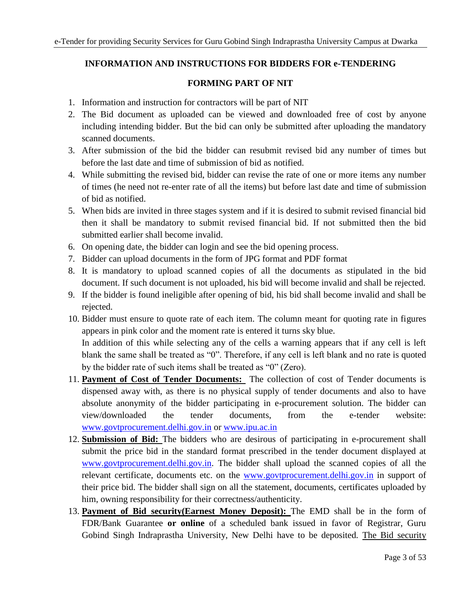# **INFORMATION AND INSTRUCTIONS FOR BIDDERS FOR e-TENDERING**

## **FORMING PART OF NIT**

- 1. Information and instruction for contractors will be part of NIT
- 2. The Bid document as uploaded can be viewed and downloaded free of cost by anyone including intending bidder. But the bid can only be submitted after uploading the mandatory scanned documents.
- 3. After submission of the bid the bidder can resubmit revised bid any number of times but before the last date and time of submission of bid as notified.
- 4. While submitting the revised bid, bidder can revise the rate of one or more items any number of times (he need not re-enter rate of all the items) but before last date and time of submission of bid as notified.
- 5. When bids are invited in three stages system and if it is desired to submit revised financial bid then it shall be mandatory to submit revised financial bid. If not submitted then the bid submitted earlier shall become invalid.
- 6. On opening date, the bidder can login and see the bid opening process.
- 7. Bidder can upload documents in the form of JPG format and PDF format
- 8. It is mandatory to upload scanned copies of all the documents as stipulated in the bid document. If such document is not uploaded, his bid will become invalid and shall be rejected.
- 9. If the bidder is found ineligible after opening of bid, his bid shall become invalid and shall be rejected.
- 10. Bidder must ensure to quote rate of each item. The column meant for quoting rate in figures appears in pink color and the moment rate is entered it turns sky blue. In addition of this while selecting any of the cells a warning appears that if any cell is left blank the same shall be treated as "0". Therefore, if any cell is left blank and no rate is quoted by the bidder rate of such items shall be treated as "0" (Zero).
- 11. **Payment of Cost of Tender Documents:** The collection of cost of Tender documents is dispensed away with, as there is no physical supply of tender documents and also to have absolute anonymity of the bidder participating in e-procurement solution. The bidder can view/downloaded the tender documents, from the e-tender website: [www.govtprocurement.delhi.gov.in](http://www.govtprocurement.delhi.gov.in/) or [www.ipu.ac.in](http://www.ipu.ac.in/)
- 12. **Submission of Bid:** The bidders who are desirous of participating in e-procurement shall submit the price bid in the standard format prescribed in the tender document displayed at [www.govtprocurement.delhi.gov.in.](http://www.govtprocurement.delhi.gov.in/) The bidder shall upload the scanned copies of all the relevant certificate, documents etc. on the [www.govtprocurement.delhi.gov.in](http://www.govtprocurement.delhi.gov.in/) in support of their price bid. The bidder shall sign on all the statement, documents, certificates uploaded by him, owning responsibility for their correctness/authenticity.
- 13. **Payment of Bid security(Earnest Money Deposit):** The EMD shall be in the form of FDR/Bank Guarantee **or online** of a scheduled bank issued in favor of Registrar, Guru Gobind Singh Indraprastha University, New Delhi have to be deposited. The Bid security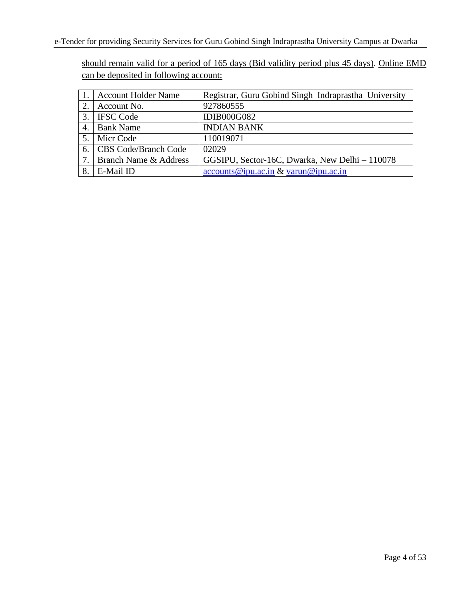should remain valid for a period of 165 days (Bid validity period plus 45 days). Online EMD can be deposited in following account:

|               | <b>Account Holder Name</b>  | Registrar, Guru Gobind Singh Indraprastha University        |
|---------------|-----------------------------|-------------------------------------------------------------|
| 2.            | Account No.                 | 927860555                                                   |
| $\mathcal{R}$ | <b>IFSC Code</b>            | <b>IDIB000G082</b>                                          |
| 4.            | <b>Bank Name</b>            | <b>INDIAN BANK</b>                                          |
| 5.            | Micr Code                   | 110019071                                                   |
| 6.            | <b>CBS Code/Branch Code</b> | 02029                                                       |
| 7.1           | Branch Name & Address       | GGSIPU, Sector-16C, Dwarka, New Delhi - 110078              |
| 8.            | E-Mail ID                   | $\frac{\text{accounts@ipu.ac.in}}{\text{avarun@ipu.ac.in}}$ |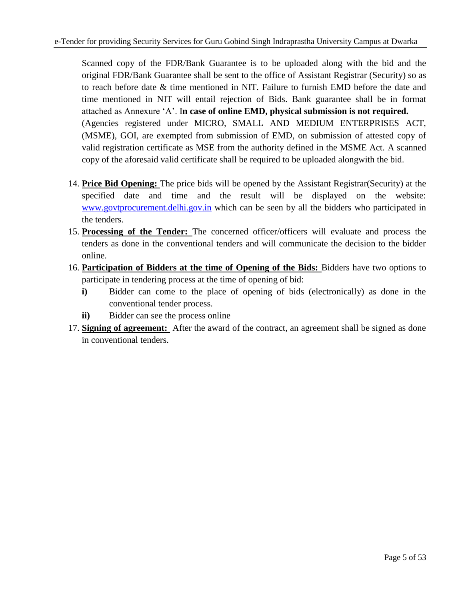Scanned copy of the FDR/Bank Guarantee is to be uploaded along with the bid and the original FDR/Bank Guarantee shall be sent to the office of Assistant Registrar (Security) so as to reach before date & time mentioned in NIT. Failure to furnish EMD before the date and time mentioned in NIT will entail rejection of Bids. Bank guarantee shall be in format attached as Annexure "A". I**n case of online EMD, physical submission is not required.** (Agencies registered under MICRO, SMALL AND MEDIUM ENTERPRISES ACT, (MSME), GOI, are exempted from submission of EMD, on submission of attested copy of valid registration certificate as MSE from the authority defined in the MSME Act. A scanned copy of the aforesaid valid certificate shall be required to be uploaded alongwith the bid.

- 14. **Price Bid Opening:** The price bids will be opened by the Assistant Registrar(Security) at the specified date and time and the result will be displayed on the website: [www.govtprocurement.delhi.gov.in](http://www.govtprocurement.delhi.gov.in/) which can be seen by all the bidders who participated in the tenders.
- 15. **Processing of the Tender:** The concerned officer/officers will evaluate and process the tenders as done in the conventional tenders and will communicate the decision to the bidder online.
- 16. **Participation of Bidders at the time of Opening of the Bids:** Bidders have two options to participate in tendering process at the time of opening of bid:
	- **i)** Bidder can come to the place of opening of bids (electronically) as done in the conventional tender process.
	- **ii)** Bidder can see the process online
- 17. **Signing of agreement:** After the award of the contract, an agreement shall be signed as done in conventional tenders.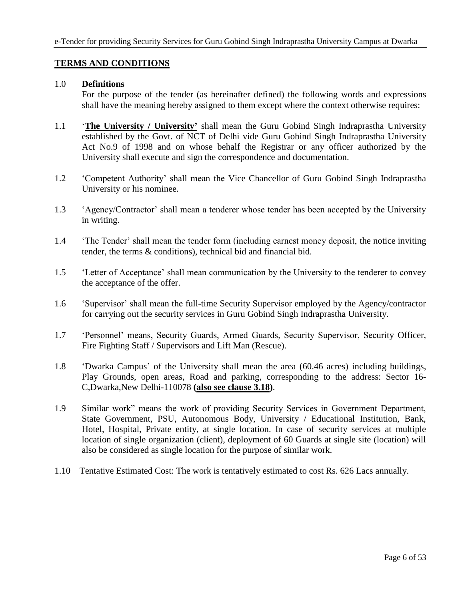### **TERMS AND CONDITIONS**

#### 1.0 **Definitions**

For the purpose of the tender (as hereinafter defined) the following words and expressions shall have the meaning hereby assigned to them except where the context otherwise requires:

- 1.1 "**The University / University"** shall mean the Guru Gobind Singh Indraprastha University established by the Govt. of NCT of Delhi vide Guru Gobind Singh Indraprastha University Act No.9 of 1998 and on whose behalf the Registrar or any officer authorized by the University shall execute and sign the correspondence and documentation.
- 1.2 "Competent Authority" shall mean the Vice Chancellor of Guru Gobind Singh Indraprastha University or his nominee.
- 1.3 "Agency/Contractor" shall mean a tenderer whose tender has been accepted by the University in writing.
- 1.4 "The Tender" shall mean the tender form (including earnest money deposit, the notice inviting tender, the terms & conditions), technical bid and financial bid.
- 1.5 "Letter of Acceptance" shall mean communication by the University to the tenderer to convey the acceptance of the offer.
- 1.6 "Supervisor" shall mean the full-time Security Supervisor employed by the Agency/contractor for carrying out the security services in Guru Gobind Singh Indraprastha University.
- 1.7 "Personnel" means, Security Guards, Armed Guards, Security Supervisor, Security Officer, Fire Fighting Staff / Supervisors and Lift Man (Rescue).
- 1.8 "Dwarka Campus" of the University shall mean the area (60.46 acres) including buildings, Play Grounds, open areas, Road and parking, corresponding to the address: Sector 16- C,Dwarka,New Delhi-110078 **(also see clause 3.18)**.
- 1.9 Similar work" means the work of providing Security Services in Government Department, State Government, PSU, Autonomous Body, University / Educational Institution, Bank, Hotel, Hospital, Private entity, at single location. In case of security services at multiple location of single organization (client), deployment of 60 Guards at single site (location) will also be considered as single location for the purpose of similar work.
- 1.10 Tentative Estimated Cost: The work is tentatively estimated to cost Rs. 626 Lacs annually.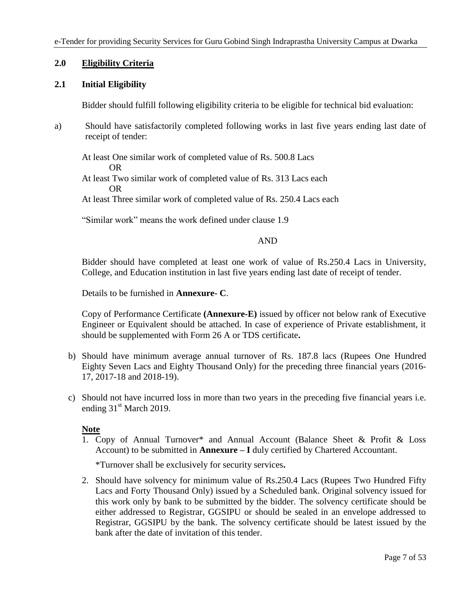### **2.0 Eligibility Criteria**

### **2.1 Initial Eligibility**

Bidder should fulfill following eligibility criteria to be eligible for technical bid evaluation:

a) Should have satisfactorily completed following works in last five years ending last date of receipt of tender:

At least One similar work of completed value of Rs. 500.8 Lacs

OR

At least Two similar work of completed value of Rs. 313 Lacs each OR

At least Three similar work of completed value of Rs. 250.4 Lacs each

"Similar work" means the work defined under clause 1.9

#### AND

Bidder should have completed at least one work of value of Rs.250.4 Lacs in University, College, and Education institution in last five years ending last date of receipt of tender.

Details to be furnished in **Annexure- C**.

Copy of Performance Certificate **(Annexure-E)** issued by officer not below rank of Executive Engineer or Equivalent should be attached. In case of experience of Private establishment, it should be supplemented with Form 26 A or TDS certificate**.**

- b) Should have minimum average annual turnover of Rs. 187.8 lacs (Rupees One Hundred Eighty Seven Lacs and Eighty Thousand Only) for the preceding three financial years (2016- 17, 2017-18 and 2018-19).
- c) Should not have incurred loss in more than two years in the preceding five financial years i.e. ending  $31<sup>st</sup>$  March 2019.

#### **Note**

1. Copy of Annual Turnover\* and Annual Account (Balance Sheet & Profit & Loss Account) to be submitted in **Annexure – I** duly certified by Chartered Accountant.

\*Turnover shall be exclusively for security services**.**

2. Should have solvency for minimum value of Rs.250.4 Lacs (Rupees Two Hundred Fifty Lacs and Forty Thousand Only) issued by a Scheduled bank. Original solvency issued for this work only by bank to be submitted by the bidder. The solvency certificate should be either addressed to Registrar, GGSIPU or should be sealed in an envelope addressed to Registrar, GGSIPU by the bank. The solvency certificate should be latest issued by the bank after the date of invitation of this tender.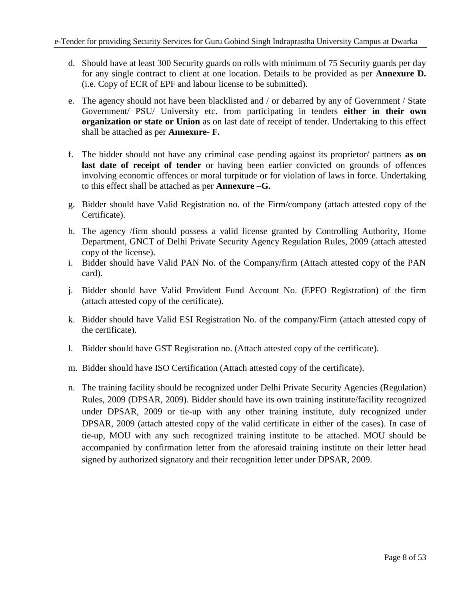- d. Should have at least 300 Security guards on rolls with minimum of 75 Security guards per day for any single contract to client at one location. Details to be provided as per **Annexure D.** (i.e. Copy of ECR of EPF and labour license to be submitted).
- e. The agency should not have been blacklisted and / or debarred by any of Government / State Government/ PSU/ University etc. from participating in tenders **either in their own organization or state or Union** as on last date of receipt of tender. Undertaking to this effect shall be attached as per **Annexure- F.**
- f. The bidder should not have any criminal case pending against its proprietor/ partners **as on last date of receipt of tender** or having been earlier convicted on grounds of offences involving economic offences or moral turpitude or for violation of laws in force. Undertaking to this effect shall be attached as per **Annexure –G.**
- g. Bidder should have Valid Registration no. of the Firm/company (attach attested copy of the Certificate).
- h. The agency /firm should possess a valid license granted by Controlling Authority, Home Department, GNCT of Delhi Private Security Agency Regulation Rules, 2009 (attach attested copy of the license).
- i. Bidder should have Valid PAN No. of the Company/firm (Attach attested copy of the PAN card).
- j. Bidder should have Valid Provident Fund Account No. (EPFO Registration) of the firm (attach attested copy of the certificate).
- k. Bidder should have Valid ESI Registration No. of the company/Firm (attach attested copy of the certificate).
- l. Bidder should have GST Registration no. (Attach attested copy of the certificate).
- m. Bidder should have ISO Certification (Attach attested copy of the certificate).
- n. The training facility should be recognized under Delhi Private Security Agencies (Regulation) Rules, 2009 (DPSAR, 2009). Bidder should have its own training institute/facility recognized under DPSAR, 2009 or tie-up with any other training institute, duly recognized under DPSAR, 2009 (attach attested copy of the valid certificate in either of the cases). In case of tie-up, MOU with any such recognized training institute to be attached. MOU should be accompanied by confirmation letter from the aforesaid training institute on their letter head signed by authorized signatory and their recognition letter under DPSAR, 2009.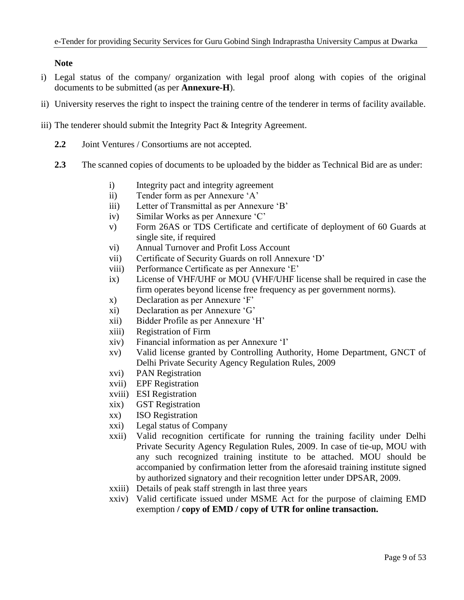**Note**

- i) Legal status of the company/ organization with legal proof along with copies of the original documents to be submitted (as per **Annexure-H**).
- ii) University reserves the right to inspect the training centre of the tenderer in terms of facility available.
- iii) The tenderer should submit the Integrity Pact & Integrity Agreement.
	- **2.2** Joint Ventures / Consortiums are not accepted.
	- **2.3** The scanned copies of documents to be uploaded by the bidder as Technical Bid are as under:
		- i) Integrity pact and integrity agreement
		- ii) Tender form as per Annexure "A"
		- iii) Letter of Transmittal as per Annexure 'B'
		- iv) Similar Works as per Annexure 'C'
		- v) Form 26AS or TDS Certificate and certificate of deployment of 60 Guards at single site, if required
		- vi) Annual Turnover and Profit Loss Account
		- vii) Certificate of Security Guards on roll Annexure "D"
		- viii) Performance Certificate as per Annexure 'E'
		- ix) License of VHF/UHF or MOU (VHF/UHF license shall be required in case the firm operates beyond license free frequency as per government norms).
		- x) Declaration as per Annexure 'F'
		- xi) Declaration as per Annexure "G"
		- xii) Bidder Profile as per Annexure "H"
		- xiii) Registration of Firm
		- xiv) Financial information as per Annexure "I"
		- xv) Valid license granted by Controlling Authority, Home Department, GNCT of Delhi Private Security Agency Regulation Rules, 2009
		- xvi) PAN Registration
		- xvii) EPF Registration
		- xviii) ESI Registration
		- xix) GST Registration
		- xx) ISO Registration
		- xxi) Legal status of Company
		- xxii) Valid recognition certificate for running the training facility under Delhi Private Security Agency Regulation Rules, 2009. In case of tie-up, MOU with any such recognized training institute to be attached. MOU should be accompanied by confirmation letter from the aforesaid training institute signed by authorized signatory and their recognition letter under DPSAR, 2009.
		- xxiii) Details of peak staff strength in last three years
		- xxiv) Valid certificate issued under MSME Act for the purpose of claiming EMD exemption **/ copy of EMD / copy of UTR for online transaction.**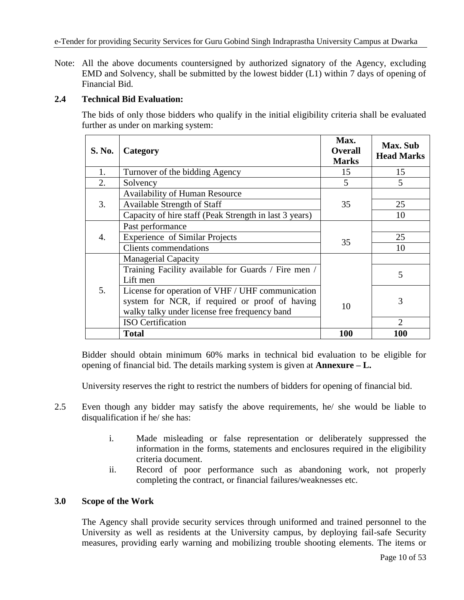Note: All the above documents countersigned by authorized signatory of the Agency, excluding EMD and Solvency, shall be submitted by the lowest bidder (L1) within 7 days of opening of Financial Bid.

#### **2.4 Technical Bid Evaluation:**

The bids of only those bidders who qualify in the initial eligibility criteria shall be evaluated further as under on marking system:

| S. No.           | Category                                               | Max.<br><b>Overall</b><br><b>Marks</b> | Max. Sub<br><b>Head Marks</b> |
|------------------|--------------------------------------------------------|----------------------------------------|-------------------------------|
| 1.               | Turnover of the bidding Agency                         | 15                                     | 15                            |
| 2.               | Solvency                                               | 5                                      | 5                             |
|                  | Availability of Human Resource                         |                                        |                               |
| 3.               | Available Strength of Staff                            | 35                                     | 25                            |
|                  | Capacity of hire staff (Peak Strength in last 3 years) |                                        | 10                            |
|                  | Past performance                                       |                                        |                               |
| $\overline{4}$ . | <b>Experience of Similar Projects</b>                  | 35                                     | 25                            |
|                  | <b>Clients</b> commendations                           |                                        | 10                            |
|                  | <b>Managerial Capacity</b>                             |                                        |                               |
|                  | Training Facility available for Guards / Fire men /    |                                        | 5                             |
|                  | Lift men                                               |                                        |                               |
| 5.               | License for operation of VHF / UHF communication       |                                        |                               |
|                  | system for NCR, if required or proof of having         | 10                                     | 3                             |
|                  | walky talky under license free frequency band          |                                        |                               |
|                  | <b>ISO</b> Certification                               |                                        | $\overline{2}$                |
|                  | <b>Total</b>                                           | 100                                    | 100                           |

Bidder should obtain minimum 60% marks in technical bid evaluation to be eligible for opening of financial bid. The details marking system is given at **Annexure – L.**

University reserves the right to restrict the numbers of bidders for opening of financial bid.

- 2.5 Even though any bidder may satisfy the above requirements, he/ she would be liable to disqualification if he/ she has:
	- i. Made misleading or false representation or deliberately suppressed the information in the forms, statements and enclosures required in the eligibility criteria document.
	- ii. Record of poor performance such as abandoning work, not properly completing the contract, or financial failures/weaknesses etc.

#### **3.0 Scope of the Work**

The Agency shall provide security services through uniformed and trained personnel to the University as well as residents at the University campus, by deploying fail-safe Security measures, providing early warning and mobilizing trouble shooting elements. The items or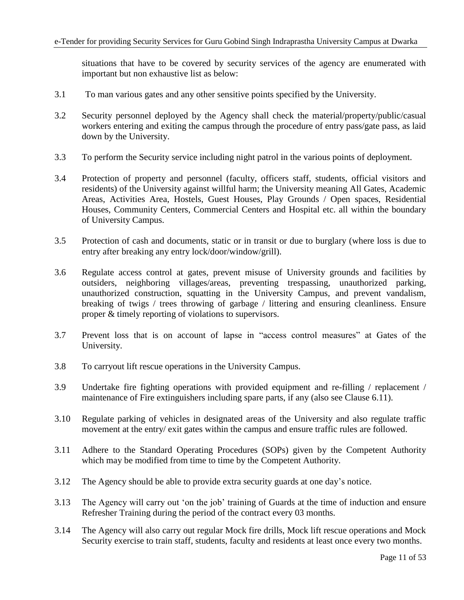situations that have to be covered by security services of the agency are enumerated with important but non exhaustive list as below:

- 3.1 To man various gates and any other sensitive points specified by the University.
- 3.2 Security personnel deployed by the Agency shall check the material/property/public/casual workers entering and exiting the campus through the procedure of entry pass/gate pass, as laid down by the University.
- 3.3 To perform the Security service including night patrol in the various points of deployment.
- 3.4 Protection of property and personnel (faculty, officers staff, students, official visitors and residents) of the University against willful harm; the University meaning All Gates, Academic Areas, Activities Area, Hostels, Guest Houses, Play Grounds / Open spaces, Residential Houses, Community Centers, Commercial Centers and Hospital etc. all within the boundary of University Campus.
- 3.5 Protection of cash and documents, static or in transit or due to burglary (where loss is due to entry after breaking any entry lock/door/window/grill).
- 3.6 Regulate access control at gates, prevent misuse of University grounds and facilities by outsiders, neighboring villages/areas, preventing trespassing, unauthorized parking, unauthorized construction, squatting in the University Campus, and prevent vandalism, breaking of twigs / trees throwing of garbage / littering and ensuring cleanliness. Ensure proper & timely reporting of violations to supervisors.
- 3.7 Prevent loss that is on account of lapse in "access control measures" at Gates of the University.
- 3.8 To carryout lift rescue operations in the University Campus.
- 3.9 Undertake fire fighting operations with provided equipment and re-filling / replacement / maintenance of Fire extinguishers including spare parts, if any (also see Clause 6.11).
- 3.10 Regulate parking of vehicles in designated areas of the University and also regulate traffic movement at the entry/ exit gates within the campus and ensure traffic rules are followed.
- 3.11 Adhere to the Standard Operating Procedures (SOPs) given by the Competent Authority which may be modified from time to time by the Competent Authority.
- 3.12 The Agency should be able to provide extra security guards at one day"s notice.
- 3.13 The Agency will carry out "on the job" training of Guards at the time of induction and ensure Refresher Training during the period of the contract every 03 months.
- 3.14 The Agency will also carry out regular Mock fire drills, Mock lift rescue operations and Mock Security exercise to train staff, students, faculty and residents at least once every two months.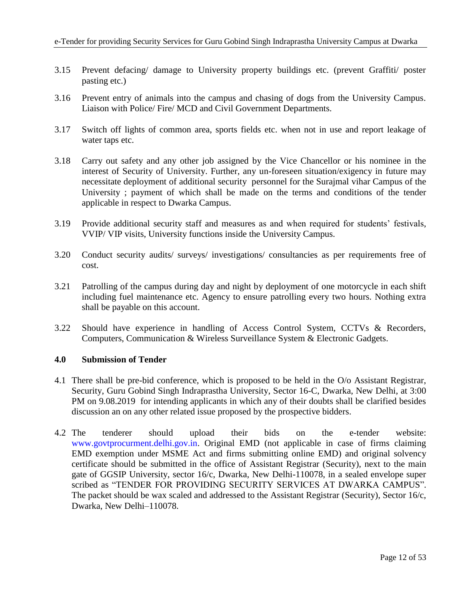- 3.15 Prevent defacing/ damage to University property buildings etc. (prevent Graffiti/ poster pasting etc.)
- 3.16 Prevent entry of animals into the campus and chasing of dogs from the University Campus. Liaison with Police/ Fire/ MCD and Civil Government Departments.
- 3.17 Switch off lights of common area, sports fields etc. when not in use and report leakage of water taps etc.
- 3.18 Carry out safety and any other job assigned by the Vice Chancellor or his nominee in the interest of Security of University. Further, any un-foreseen situation/exigency in future may necessitate deployment of additional security personnel for the Surajmal vihar Campus of the University ; payment of which shall be made on the terms and conditions of the tender applicable in respect to Dwarka Campus.
- 3.19 Provide additional security staff and measures as and when required for students" festivals, VVIP/ VIP visits, University functions inside the University Campus.
- 3.20 Conduct security audits/ surveys/ investigations/ consultancies as per requirements free of cost.
- 3.21 Patrolling of the campus during day and night by deployment of one motorcycle in each shift including fuel maintenance etc. Agency to ensure patrolling every two hours. Nothing extra shall be payable on this account.
- 3.22 Should have experience in handling of Access Control System, CCTVs & Recorders, Computers, Communication & Wireless Surveillance System & Electronic Gadgets.

#### **4.0 Submission of Tender**

- 4.1 There shall be pre-bid conference, which is proposed to be held in the O/o Assistant Registrar, Security, Guru Gobind Singh Indraprastha University, Sector 16-C, Dwarka, New Delhi, at 3:00 PM on 9.08.2019 for intending applicants in which any of their doubts shall be clarified besides discussion an on any other related issue proposed by the prospective bidders.
- 4.2 The tenderer should upload their bids on the e-tender website: [www.govtprocurment.delhi.gov.in.](http://www.govtprocurment.delhi.gov.in/) Original EMD (not applicable in case of firms claiming EMD exemption under MSME Act and firms submitting online EMD) and original solvency certificate should be submitted in the office of Assistant Registrar (Security), next to the main gate of GGSIP University, sector 16/c, Dwarka, New Delhi-110078, in a sealed envelope super scribed as "TENDER FOR PROVIDING SECURITY SERVICES AT DWARKA CAMPUS". The packet should be wax scaled and addressed to the Assistant Registrar (Security), Sector 16/c, Dwarka, New Delhi–110078.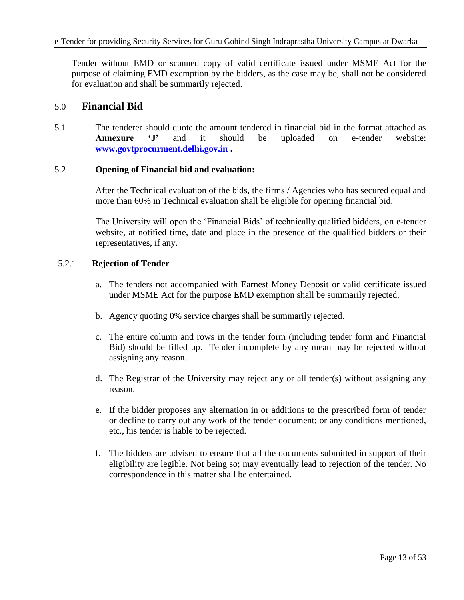Tender without EMD or scanned copy of valid certificate issued under MSME Act for the purpose of claiming EMD exemption by the bidders, as the case may be, shall not be considered for evaluation and shall be summarily rejected.

### 5.0 **Financial Bid**

5.1 The tenderer should quote the amount tendered in financial bid in the format attached as **Annexure "J"** and it should be uploaded on e-tender website: **[www.govtprocurment.delhi.gov.in](http://www.govtprocurment.delhi.gov.in/) .**

#### 5.2 **Opening of Financial bid and evaluation:**

After the Technical evaluation of the bids, the firms / Agencies who has secured equal and more than 60% in Technical evaluation shall be eligible for opening financial bid.

The University will open the "Financial Bids" of technically qualified bidders, on e-tender website, at notified time, date and place in the presence of the qualified bidders or their representatives, if any.

### 5.2.1 **Rejection of Tender**

- a. The tenders not accompanied with Earnest Money Deposit or valid certificate issued under MSME Act for the purpose EMD exemption shall be summarily rejected.
- b. Agency quoting 0% service charges shall be summarily rejected.
- c. The entire column and rows in the tender form (including tender form and Financial Bid) should be filled up. Tender incomplete by any mean may be rejected without assigning any reason.
- d. The Registrar of the University may reject any or all tender(s) without assigning any reason.
- e. If the bidder proposes any alternation in or additions to the prescribed form of tender or decline to carry out any work of the tender document; or any conditions mentioned, etc., his tender is liable to be rejected.
- f. The bidders are advised to ensure that all the documents submitted in support of their eligibility are legible. Not being so; may eventually lead to rejection of the tender. No correspondence in this matter shall be entertained.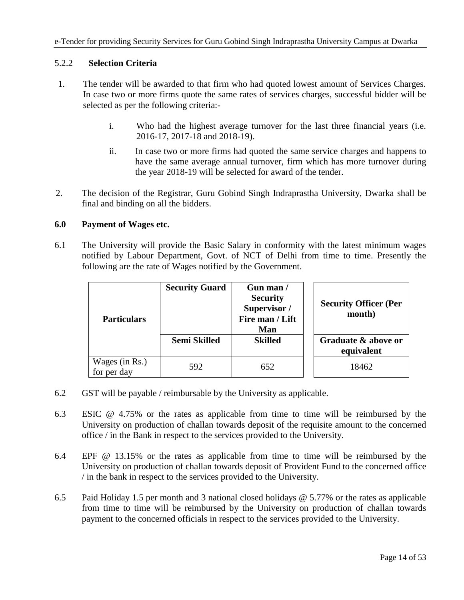### 5.2.2 **Selection Criteria**

- 1. The tender will be awarded to that firm who had quoted lowest amount of Services Charges. In case two or more firms quote the same rates of services charges, successful bidder will be selected as per the following criteria:
	- i. Who had the highest average turnover for the last three financial years (i.e. 2016-17, 2017-18 and 2018-19).
	- ii. In case two or more firms had quoted the same service charges and happens to have the same average annual turnover, firm which has more turnover during the year 2018-19 will be selected for award of the tender.
- 2. The decision of the Registrar, Guru Gobind Singh Indraprastha University, Dwarka shall be final and binding on all the bidders.

#### **6.0 Payment of Wages etc.**

6.1 The University will provide the Basic Salary in conformity with the latest minimum wages notified by Labour Department, Govt. of NCT of Delhi from time to time. Presently the following are the rate of Wages notified by the Government.

|                               | <b>Security Guard</b> | Gun man/<br><b>Security</b><br>Supervisor /<br>Fire man / Lift | <b>Security Officer (Per</b><br>month) |
|-------------------------------|-----------------------|----------------------------------------------------------------|----------------------------------------|
| <b>Particulars</b>            |                       | Man                                                            |                                        |
|                               | <b>Semi Skilled</b>   | <b>Skilled</b>                                                 | Graduate & above or<br>equivalent      |
| Wages (in Rs.)<br>for per day | 592                   | 652                                                            | 18462                                  |

- 6.2 GST will be payable / reimbursable by the University as applicable.
- 6.3 ESIC @ 4.75% or the rates as applicable from time to time will be reimbursed by the University on production of challan towards deposit of the requisite amount to the concerned office / in the Bank in respect to the services provided to the University.
- 6.4 EPF @ 13.15% or the rates as applicable from time to time will be reimbursed by the University on production of challan towards deposit of Provident Fund to the concerned office / in the bank in respect to the services provided to the University.
- 6.5 Paid Holiday 1.5 per month and 3 national closed holidays @ 5.77% or the rates as applicable from time to time will be reimbursed by the University on production of challan towards payment to the concerned officials in respect to the services provided to the University.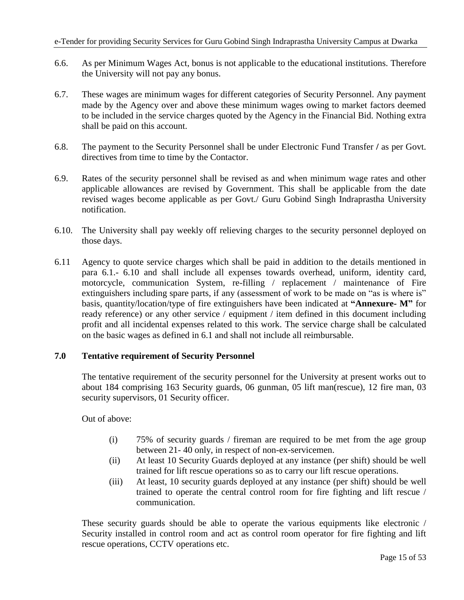- 6.6. As per Minimum Wages Act, bonus is not applicable to the educational institutions. Therefore the University will not pay any bonus.
- 6.7. These wages are minimum wages for different categories of Security Personnel. Any payment made by the Agency over and above these minimum wages owing to market factors deemed to be included in the service charges quoted by the Agency in the Financial Bid. Nothing extra shall be paid on this account.
- 6.8. The payment to the Security Personnel shall be under Electronic Fund Transfer **/** as per Govt. directives from time to time by the Contactor.
- 6.9. Rates of the security personnel shall be revised as and when minimum wage rates and other applicable allowances are revised by Government. This shall be applicable from the date revised wages become applicable as per Govt./ Guru Gobind Singh Indraprastha University notification.
- 6.10. The University shall pay weekly off relieving charges to the security personnel deployed on those days.
- 6.11 Agency to quote service charges which shall be paid in addition to the details mentioned in para 6.1.- 6.10 and shall include all expenses towards overhead, uniform, identity card, motorcycle, communication System, re-filling / replacement / maintenance of Fire extinguishers including spare parts, if any (assessment of work to be made on "as is where is" basis, quantity/location/type of fire extinguishers have been indicated at **"Annexure- M"** for ready reference) or any other service / equipment / item defined in this document including profit and all incidental expenses related to this work. The service charge shall be calculated on the basic wages as defined in 6.1 and shall not include all reimbursable.

### **7.0 Tentative requirement of Security Personnel**

The tentative requirement of the security personnel for the University at present works out to about 184 comprising 163 Security guards, 06 gunman, 05 lift man(rescue), 12 fire man, 03 security supervisors, 01 Security officer.

Out of above:

- (i) 75% of security guards / fireman are required to be met from the age group between 21- 40 only, in respect of non-ex-servicemen.
- (ii) At least 10 Security Guards deployed at any instance (per shift) should be well trained for lift rescue operations so as to carry our lift rescue operations.
- (iii) At least, 10 security guards deployed at any instance (per shift) should be well trained to operate the central control room for fire fighting and lift rescue / communication.

These security guards should be able to operate the various equipments like electronic / Security installed in control room and act as control room operator for fire fighting and lift rescue operations, CCTV operations etc.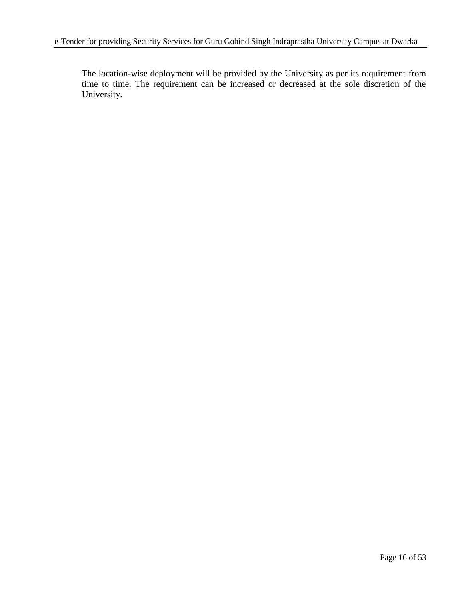The location-wise deployment will be provided by the University as per its requirement from time to time. The requirement can be increased or decreased at the sole discretion of the University.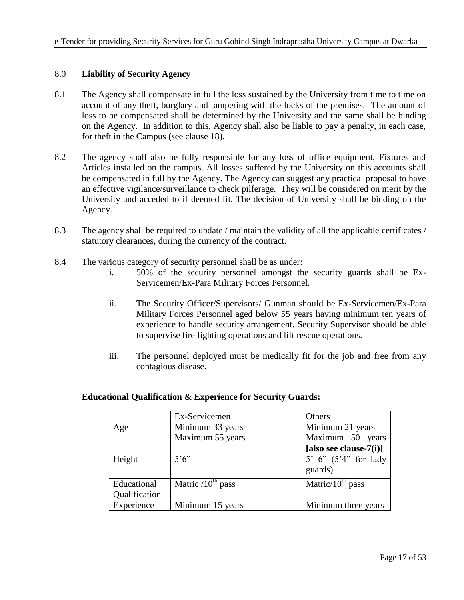### 8.0 **Liability of Security Agency**

- 8.1 The Agency shall compensate in full the loss sustained by the University from time to time on account of any theft, burglary and tampering with the locks of the premises. The amount of loss to be compensated shall be determined by the University and the same shall be binding on the Agency. In addition to this, Agency shall also be liable to pay a penalty, in each case, for theft in the Campus (see clause 18).
- 8.2 The agency shall also be fully responsible for any loss of office equipment, Fixtures and Articles installed on the campus. All losses suffered by the University on this accounts shall be compensated in full by the Agency. The Agency can suggest any practical proposal to have an effective vigilance/surveillance to check pilferage. They will be considered on merit by the University and acceded to if deemed fit. The decision of University shall be binding on the Agency.
- 8.3 The agency shall be required to update / maintain the validity of all the applicable certificates / statutory clearances, during the currency of the contract.
- 8.4 The various category of security personnel shall be as under:
	- i. 50% of the security personnel amongst the security guards shall be Ex-Servicemen/Ex-Para Military Forces Personnel.
	- ii. The Security Officer/Supervisors/ Gunman should be Ex-Servicemen/Ex-Para Military Forces Personnel aged below 55 years having minimum ten years of experience to handle security arrangement. Security Supervisor should be able to supervise fire fighting operations and lift rescue operations.
	- iii. The personnel deployed must be medically fit for the job and free from any contagious disease.

|               | Ex-Servicemen          | Others                     |
|---------------|------------------------|----------------------------|
| Age           | Minimum 33 years       | Minimum 21 years           |
|               | Maximum 55 years       | Maximum 50 years           |
|               |                        | [also see clause- $7(i)$ ] |
| Height        | $5^{\circ}6^{\circ}$   | 5' 6" $(5'4'')$ for lady   |
|               |                        | guards)                    |
| Educational   | Matric $/10^{th}$ pass | Matric/ $10^{th}$ pass     |
| Qualification |                        |                            |
| Experience    | Minimum 15 years       | Minimum three years        |

#### **Educational Qualification & Experience for Security Guards:**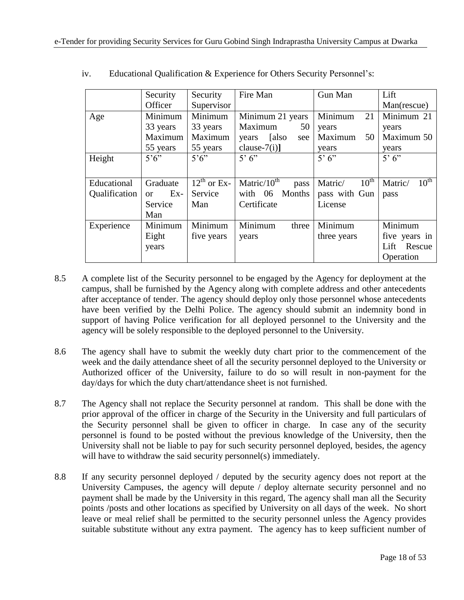|               | Security               | Security             | Fire Man                  | Gun Man                     | Lift                        |
|---------------|------------------------|----------------------|---------------------------|-----------------------------|-----------------------------|
|               | Officer                | Supervisor           |                           |                             | Man(rescue)                 |
| Age           | Minimum                | Minimum              | Minimum 21 years          | Minimum<br>21               | Minimum 21                  |
|               | 33 years               | 33 years             | Maximum<br>50             | years                       | years                       |
|               | Maximum                | Maximum              | [also<br>years<br>see     | Maximum<br>50               | Maximum 50                  |
|               | 55 years               | 55 years             | clause- $7(i)$ ]          | years                       | years                       |
| Height        | $5^\circ 6$            | $5^{\circ}6^{\circ}$ | 5'6''                     | 5'6''                       | 5'6'                        |
|               |                        |                      |                           |                             |                             |
| Educational   | Graduate               | $12^{th}$ or Ex-     | Matric/ $10^{th}$<br>pass | $10^{\text{th}}$<br>Matric/ | $10^{\text{th}}$<br>Matric/ |
| Qualification | $Ex-$<br><sub>or</sub> | Service              | <b>Months</b><br>with 06  | pass with Gun               | pass                        |
|               | Service                | Man                  | Certificate               | License                     |                             |
|               | Man                    |                      |                           |                             |                             |
| Experience    | Minimum                | Minimum              | Minimum<br>three          | Minimum                     | Minimum                     |
|               | Eight                  | five years           | years                     | three years                 | five years in               |
|               | years                  |                      |                           |                             | Rescue<br>Lift              |
|               |                        |                      |                           |                             | Operation                   |

iv. Educational Qualification & Experience for Others Security Personnel"s:

- 8.5 A complete list of the Security personnel to be engaged by the Agency for deployment at the campus, shall be furnished by the Agency along with complete address and other antecedents after acceptance of tender. The agency should deploy only those personnel whose antecedents have been verified by the Delhi Police. The agency should submit an indemnity bond in support of having Police verification for all deployed personnel to the University and the agency will be solely responsible to the deployed personnel to the University.
- 8.6 The agency shall have to submit the weekly duty chart prior to the commencement of the week and the daily attendance sheet of all the security personnel deployed to the University or Authorized officer of the University, failure to do so will result in non-payment for the day/days for which the duty chart/attendance sheet is not furnished.
- 8.7 The Agency shall not replace the Security personnel at random. This shall be done with the prior approval of the officer in charge of the Security in the University and full particulars of the Security personnel shall be given to officer in charge. In case any of the security personnel is found to be posted without the previous knowledge of the University, then the University shall not be liable to pay for such security personnel deployed, besides, the agency will have to withdraw the said security personnel(s) immediately.
- 8.8 If any security personnel deployed / deputed by the security agency does not report at the University Campuses, the agency will depute / deploy alternate security personnel and no payment shall be made by the University in this regard, The agency shall man all the Security points /posts and other locations as specified by University on all days of the week. No short leave or meal relief shall be permitted to the security personnel unless the Agency provides suitable substitute without any extra payment. The agency has to keep sufficient number of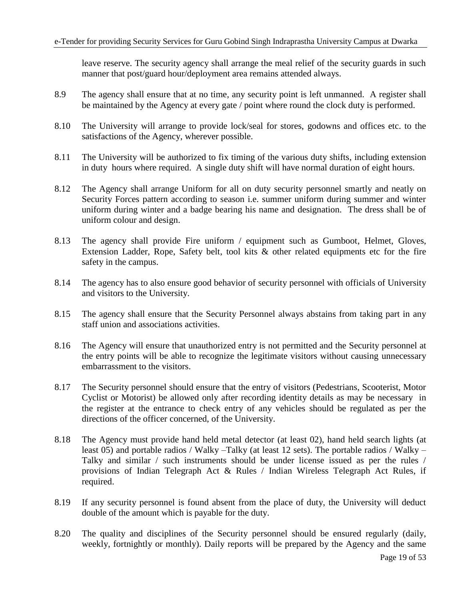leave reserve. The security agency shall arrange the meal relief of the security guards in such manner that post/guard hour/deployment area remains attended always.

- 8.9 The agency shall ensure that at no time, any security point is left unmanned. A register shall be maintained by the Agency at every gate / point where round the clock duty is performed.
- 8.10 The University will arrange to provide lock/seal for stores, godowns and offices etc. to the satisfactions of the Agency, wherever possible.
- 8.11 The University will be authorized to fix timing of the various duty shifts, including extension in duty hours where required. A single duty shift will have normal duration of eight hours.
- 8.12 The Agency shall arrange Uniform for all on duty security personnel smartly and neatly on Security Forces pattern according to season i.e. summer uniform during summer and winter uniform during winter and a badge bearing his name and designation. The dress shall be of uniform colour and design.
- 8.13 The agency shall provide Fire uniform / equipment such as Gumboot, Helmet, Gloves, Extension Ladder, Rope, Safety belt, tool kits & other related equipments etc for the fire safety in the campus.
- 8.14 The agency has to also ensure good behavior of security personnel with officials of University and visitors to the University.
- 8.15 The agency shall ensure that the Security Personnel always abstains from taking part in any staff union and associations activities.
- 8.16 The Agency will ensure that unauthorized entry is not permitted and the Security personnel at the entry points will be able to recognize the legitimate visitors without causing unnecessary embarrassment to the visitors.
- 8.17 The Security personnel should ensure that the entry of visitors (Pedestrians, Scooterist, Motor Cyclist or Motorist) be allowed only after recording identity details as may be necessary in the register at the entrance to check entry of any vehicles should be regulated as per the directions of the officer concerned, of the University.
- 8.18 The Agency must provide hand held metal detector (at least 02), hand held search lights (at least 05) and portable radios / Walky –Talky (at least 12 sets). The portable radios / Walky – Talky and similar / such instruments should be under license issued as per the rules / provisions of Indian Telegraph Act & Rules / Indian Wireless Telegraph Act Rules, if required.
- 8.19 If any security personnel is found absent from the place of duty, the University will deduct double of the amount which is payable for the duty.
- 8.20 The quality and disciplines of the Security personnel should be ensured regularly (daily, weekly, fortnightly or monthly). Daily reports will be prepared by the Agency and the same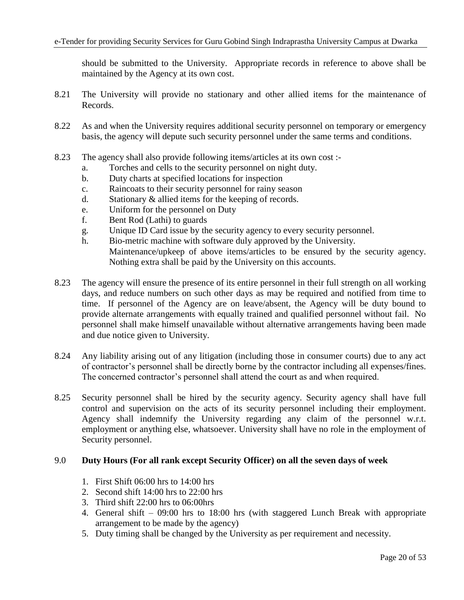should be submitted to the University. Appropriate records in reference to above shall be maintained by the Agency at its own cost.

- 8.21 The University will provide no stationary and other allied items for the maintenance of Records.
- 8.22 As and when the University requires additional security personnel on temporary or emergency basis, the agency will depute such security personnel under the same terms and conditions.
- 8.23 The agency shall also provide following items/articles at its own cost :
	- a. Torches and cells to the security personnel on night duty.
	- b. Duty charts at specified locations for inspection
	- c. Raincoats to their security personnel for rainy season
	- d. Stationary & allied items for the keeping of records.
	- e. Uniform for the personnel on Duty
	- f. Bent Rod (Lathi) to guards
	- g. Unique ID Card issue by the security agency to every security personnel.
	- h. Bio-metric machine with software duly approved by the University. Maintenance/upkeep of above items/articles to be ensured by the security agency. Nothing extra shall be paid by the University on this accounts.
- 8.23 The agency will ensure the presence of its entire personnel in their full strength on all working days, and reduce numbers on such other days as may be required and notified from time to time. If personnel of the Agency are on leave/absent, the Agency will be duty bound to provide alternate arrangements with equally trained and qualified personnel without fail. No personnel shall make himself unavailable without alternative arrangements having been made and due notice given to University.
- 8.24 Any liability arising out of any litigation (including those in consumer courts) due to any act of contractor"s personnel shall be directly borne by the contractor including all expenses/fines. The concerned contractor"s personnel shall attend the court as and when required.
- 8.25 Security personnel shall be hired by the security agency. Security agency shall have full control and supervision on the acts of its security personnel including their employment. Agency shall indemnify the University regarding any claim of the personnel w.r.t. employment or anything else, whatsoever. University shall have no role in the employment of Security personnel.

#### 9.0 **Duty Hours (For all rank except Security Officer) on all the seven days of week**

- 1. First Shift 06:00 hrs to 14:00 hrs
- 2. Second shift 14:00 hrs to 22:00 hrs
- 3. Third shift 22:00 hrs to 06:00hrs
- 4. General shift 09:00 hrs to 18:00 hrs (with staggered Lunch Break with appropriate arrangement to be made by the agency)
- 5. Duty timing shall be changed by the University as per requirement and necessity.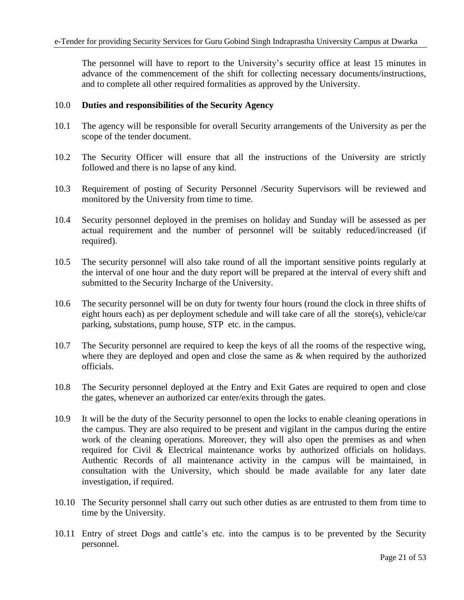The personnel will have to report to the University"s security office at least 15 minutes in advance of the commencement of the shift for collecting necessary documents/instructions, and to complete all other required formalities as approved by the University.

#### 10.0 **Duties and responsibilities of the Security Agency**

- 10.1 The agency will be responsible for overall Security arrangements of the University as per the scope of the tender document.
- 10.2 The Security Officer will ensure that all the instructions of the University are strictly followed and there is no lapse of any kind.
- 10.3 Requirement of posting of Security Personnel /Security Supervisors will be reviewed and monitored by the University from time to time.
- 10.4 Security personnel deployed in the premises on holiday and Sunday will be assessed as per actual requirement and the number of personnel will be suitably reduced/increased (if required).
- 10.5 The security personnel will also take round of all the important sensitive points regularly at the interval of one hour and the duty report will be prepared at the interval of every shift and submitted to the Security Incharge of the University.
- 10.6 The security personnel will be on duty for twenty four hours (round the clock in three shifts of eight hours each) as per deployment schedule and will take care of all the store(s), vehicle/car parking, substations, pump house, STP etc. in the campus.
- 10.7 The Security personnel are required to keep the keys of all the rooms of the respective wing, where they are deployed and open and close the same as  $\&$  when required by the authorized officials.
- 10.8 The Security personnel deployed at the Entry and Exit Gates are required to open and close the gates, whenever an authorized car enter/exits through the gates.
- 10.9 It will be the duty of the Security personnel to open the locks to enable cleaning operations in the campus. They are also required to be present and vigilant in the campus during the entire work of the cleaning operations. Moreover, they will also open the premises as and when required for Civil & Electrical maintenance works by authorized officials on holidays. Authentic Records of all maintenance activity in the campus will be maintained, in consultation with the University, which should be made available for any later date investigation, if required.
- 10.10 The Security personnel shall carry out such other duties as are entrusted to them from time to time by the University.
- 10.11 Entry of street Dogs and cattle"s etc. into the campus is to be prevented by the Security personnel.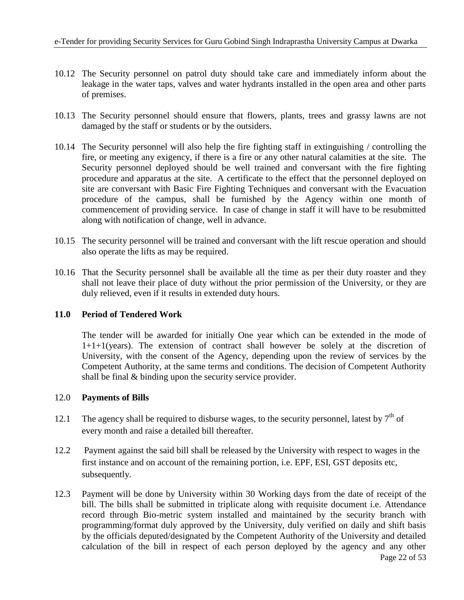- 10.12 The Security personnel on patrol duty should take care and immediately inform about the leakage in the water taps, valves and water hydrants installed in the open area and other parts of premises.
- 10.13 The Security personnel should ensure that flowers, plants, trees and grassy lawns are not damaged by the staff or students or by the outsiders.
- 10.14 The Security personnel will also help the fire fighting staff in extinguishing / controlling the fire, or meeting any exigency, if there is a fire or any other natural calamities at the site. The Security personnel deployed should be well trained and conversant with the fire fighting procedure and apparatus at the site. A certificate to the effect that the personnel deployed on site are conversant with Basic Fire Fighting Techniques and conversant with the Evacuation procedure of the campus, shall be furnished by the Agency within one month of commencement of providing service. In case of change in staff it will have to be resubmitted along with notification of change, well in advance.
- 10.15 The security personnel will be trained and conversant with the lift rescue operation and should also operate the lifts as may be required.
- 10.16 That the Security personnel shall be available all the time as per their duty roaster and they shall not leave their place of duty without the prior permission of the University, or they are duly relieved, even if it results in extended duty hours.

### **11.0 Period of Tendered Work**

The tender will be awarded for initially One year which can be extended in the mode of 1+1+1(years). The extension of contract shall however be solely at the discretion of University, with the consent of the Agency, depending upon the review of services by the Competent Authority, at the same terms and conditions. The decision of Competent Authority shall be final & binding upon the security service provider.

### 12.0 **Payments of Bills**

- 12.1 The agency shall be required to disburse wages, to the security personnel, latest by  $7<sup>th</sup>$  of every month and raise a detailed bill thereafter.
- 12.2 Payment against the said bill shall be released by the University with respect to wages in the first instance and on account of the remaining portion, i.e. EPF, ESI, GST deposits etc, subsequently.
- 12.3 Payment will be done by University within 30 Working days from the date of receipt of the bill. The bills shall be submitted in triplicate along with requisite document i.e. Attendance record through Bio-metric system installed and maintained by the security branch with programming/format duly approved by the University, duly verified on daily and shift basis by the officials deputed/designated by the Competent Authority of the University and detailed calculation of the bill in respect of each person deployed by the agency and any other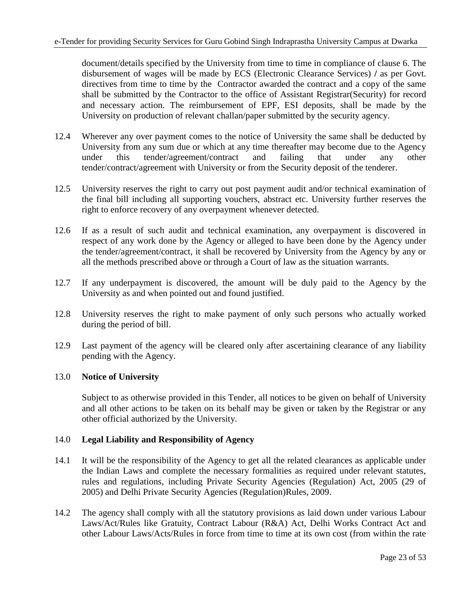document/details specified by the University from time to time in compliance of clause 6. The disbursement of wages will be made by ECS (Electronic Clearance Services) **/** as per Govt. directives from time to time by the Contractor awarded the contract and a copy of the same shall be submitted by the Contractor to the office of Assistant Registrar(Security) for record and necessary action. The reimbursement of EPF, ESI deposits, shall be made by the University on production of relevant challan/paper submitted by the security agency.

- 12.4 Wherever any over payment comes to the notice of University the same shall be deducted by University from any sum due or which at any time thereafter may become due to the Agency under this tender/agreement/contract and failing that under any other tender/contract/agreement with University or from the Security deposit of the tenderer.
- 12.5 University reserves the right to carry out post payment audit and/or technical examination of the final bill including all supporting vouchers, abstract etc. University further reserves the right to enforce recovery of any overpayment whenever detected.
- 12.6 If as a result of such audit and technical examination, any overpayment is discovered in respect of any work done by the Agency or alleged to have been done by the Agency under the tender/agreement/contract, it shall be recovered by University from the Agency by any or all the methods prescribed above or through a Court of law as the situation warrants.
- 12.7 If any underpayment is discovered, the amount will be duly paid to the Agency by the University as and when pointed out and found justified.
- 12.8 University reserves the right to make payment of only such persons who actually worked during the period of bill.
- 12.9 Last payment of the agency will be cleared only after ascertaining clearance of any liability pending with the Agency.

### 13.0 **Notice of University**

Subject to as otherwise provided in this Tender, all notices to be given on behalf of University and all other actions to be taken on its behalf may be given or taken by the Registrar or any other official authorized by the University.

### 14.0 **Legal Liability and Responsibility of Agency**

- 14.1 It will be the responsibility of the Agency to get all the related clearances as applicable under the Indian Laws and complete the necessary formalities as required under relevant statutes, rules and regulations, including Private Security Agencies (Regulation) Act, 2005 (29 of 2005) and Delhi Private Security Agencies (Regulation)Rules, 2009.
- 14.2 The agency shall comply with all the statutory provisions as laid down under various Labour Laws/Act/Rules like Gratuity, Contract Labour (R&A) Act, Delhi Works Contract Act and other Labour Laws/Acts/Rules in force from time to time at its own cost (from within the rate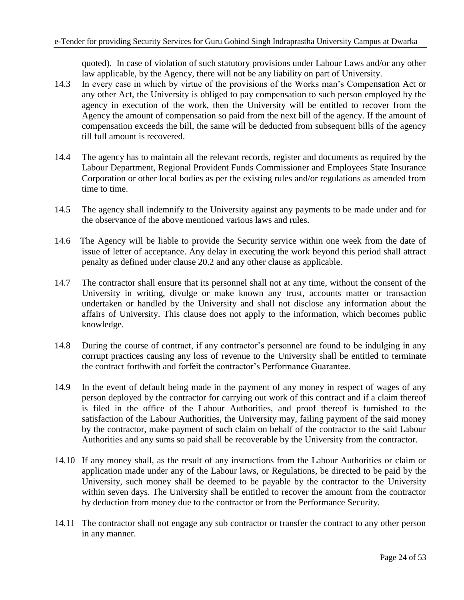quoted). In case of violation of such statutory provisions under Labour Laws and/or any other law applicable, by the Agency, there will not be any liability on part of University.

- 14.3 In every case in which by virtue of the provisions of the Works man"s Compensation Act or any other Act, the University is obliged to pay compensation to such person employed by the agency in execution of the work, then the University will be entitled to recover from the Agency the amount of compensation so paid from the next bill of the agency. If the amount of compensation exceeds the bill, the same will be deducted from subsequent bills of the agency till full amount is recovered.
- 14.4 The agency has to maintain all the relevant records, register and documents as required by the Labour Department, Regional Provident Funds Commissioner and Employees State Insurance Corporation or other local bodies as per the existing rules and/or regulations as amended from time to time.
- 14.5 The agency shall indemnify to the University against any payments to be made under and for the observance of the above mentioned various laws and rules.
- 14.6 The Agency will be liable to provide the Security service within one week from the date of issue of letter of acceptance. Any delay in executing the work beyond this period shall attract penalty as defined under clause 20.2 and any other clause as applicable.
- 14.7 The contractor shall ensure that its personnel shall not at any time, without the consent of the University in writing, divulge or make known any trust, accounts matter or transaction undertaken or handled by the University and shall not disclose any information about the affairs of University. This clause does not apply to the information, which becomes public knowledge.
- 14.8 During the course of contract, if any contractor's personnel are found to be indulging in any corrupt practices causing any loss of revenue to the University shall be entitled to terminate the contract forthwith and forfeit the contractor"s Performance Guarantee.
- 14.9 In the event of default being made in the payment of any money in respect of wages of any person deployed by the contractor for carrying out work of this contract and if a claim thereof is filed in the office of the Labour Authorities, and proof thereof is furnished to the satisfaction of the Labour Authorities, the University may, failing payment of the said money by the contractor, make payment of such claim on behalf of the contractor to the said Labour Authorities and any sums so paid shall be recoverable by the University from the contractor.
- 14.10 If any money shall, as the result of any instructions from the Labour Authorities or claim or application made under any of the Labour laws, or Regulations, be directed to be paid by the University, such money shall be deemed to be payable by the contractor to the University within seven days. The University shall be entitled to recover the amount from the contractor by deduction from money due to the contractor or from the Performance Security.
- 14.11 The contractor shall not engage any sub contractor or transfer the contract to any other person in any manner.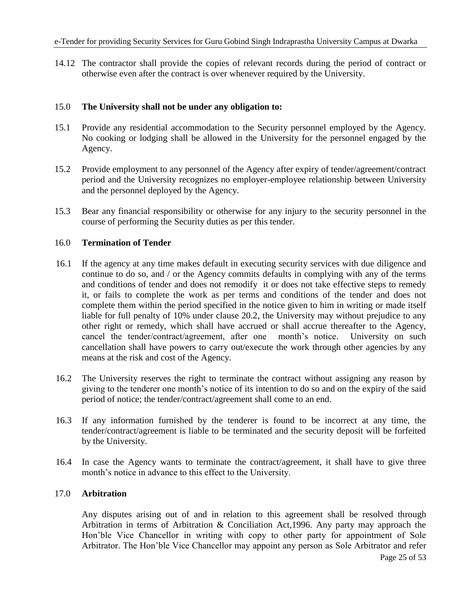14.12 The contractor shall provide the copies of relevant records during the period of contract or otherwise even after the contract is over whenever required by the University.

### 15.0 **The University shall not be under any obligation to:**

- 15.1 Provide any residential accommodation to the Security personnel employed by the Agency. No cooking or lodging shall be allowed in the University for the personnel engaged by the Agency.
- 15.2 Provide employment to any personnel of the Agency after expiry of tender/agreement/contract period and the University recognizes no employer-employee relationship between University and the personnel deployed by the Agency.
- 15.3 Bear any financial responsibility or otherwise for any injury to the security personnel in the course of performing the Security duties as per this tender.

#### 16.0 **Termination of Tender**

- 16.1 If the agency at any time makes default in executing security services with due diligence and continue to do so, and / or the Agency commits defaults in complying with any of the terms and conditions of tender and does not remodify it or does not take effective steps to remedy it, or fails to complete the work as per terms and conditions of the tender and does not complete them within the period specified in the notice given to him in writing or made itself liable for full penalty of 10% under clause 20.2, the University may without prejudice to any other right or remedy, which shall have accrued or shall accrue thereafter to the Agency, cancel the tender/contract/agreement, after one month"s notice. University on such cancellation shall have powers to carry out/execute the work through other agencies by any means at the risk and cost of the Agency.
- 16.2 The University reserves the right to terminate the contract without assigning any reason by giving to the tenderer one month"s notice of its intention to do so and on the expiry of the said period of notice; the tender/contract/agreement shall come to an end.
- 16.3 If any information furnished by the tenderer is found to be incorrect at any time, the tender/contract/agreement is liable to be terminated and the security deposit will be forfeited by the University.
- 16.4 In case the Agency wants to terminate the contract/agreement, it shall have to give three month's notice in advance to this effect to the University.

### 17.0 **Arbitration**

Any disputes arising out of and in relation to this agreement shall be resolved through Arbitration in terms of Arbitration & Conciliation Act,1996. Any party may approach the Hon"ble Vice Chancellor in writing with copy to other party for appointment of Sole Arbitrator. The Hon"ble Vice Chancellor may appoint any person as Sole Arbitrator and refer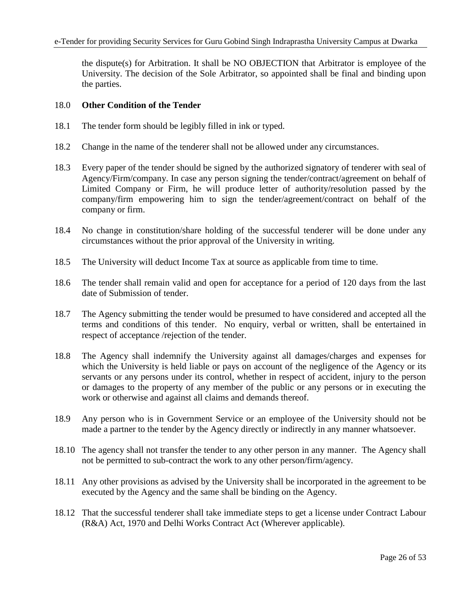the dispute(s) for Arbitration. It shall be NO OBJECTION that Arbitrator is employee of the University. The decision of the Sole Arbitrator, so appointed shall be final and binding upon the parties.

#### 18.0 **Other Condition of the Tender**

- 18.1 The tender form should be legibly filled in ink or typed.
- 18.2 Change in the name of the tenderer shall not be allowed under any circumstances.
- 18.3 Every paper of the tender should be signed by the authorized signatory of tenderer with seal of Agency/Firm/company. In case any person signing the tender/contract/agreement on behalf of Limited Company or Firm, he will produce letter of authority/resolution passed by the company/firm empowering him to sign the tender/agreement/contract on behalf of the company or firm.
- 18.4 No change in constitution/share holding of the successful tenderer will be done under any circumstances without the prior approval of the University in writing.
- 18.5 The University will deduct Income Tax at source as applicable from time to time.
- 18.6 The tender shall remain valid and open for acceptance for a period of 120 days from the last date of Submission of tender.
- 18.7 The Agency submitting the tender would be presumed to have considered and accepted all the terms and conditions of this tender. No enquiry, verbal or written, shall be entertained in respect of acceptance /rejection of the tender.
- 18.8 The Agency shall indemnify the University against all damages/charges and expenses for which the University is held liable or pays on account of the negligence of the Agency or its servants or any persons under its control, whether in respect of accident, injury to the person or damages to the property of any member of the public or any persons or in executing the work or otherwise and against all claims and demands thereof.
- 18.9 Any person who is in Government Service or an employee of the University should not be made a partner to the tender by the Agency directly or indirectly in any manner whatsoever.
- 18.10 The agency shall not transfer the tender to any other person in any manner. The Agency shall not be permitted to sub-contract the work to any other person/firm/agency.
- 18.11 Any other provisions as advised by the University shall be incorporated in the agreement to be executed by the Agency and the same shall be binding on the Agency.
- 18.12 That the successful tenderer shall take immediate steps to get a license under Contract Labour (R&A) Act, 1970 and Delhi Works Contract Act (Wherever applicable).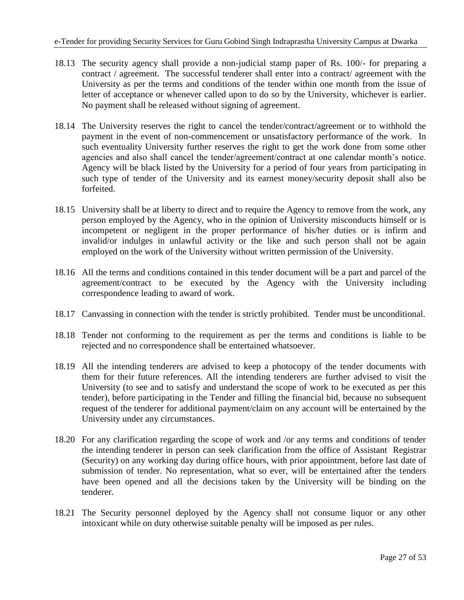- 18.13 The security agency shall provide a non-judicial stamp paper of Rs. 100/- for preparing a contract / agreement. The successful tenderer shall enter into a contract/ agreement with the University as per the terms and conditions of the tender within one month from the issue of letter of acceptance or whenever called upon to do so by the University, whichever is earlier. No payment shall be released without signing of agreement.
- 18.14 The University reserves the right to cancel the tender/contract/agreement or to withhold the payment in the event of non-commencement or unsatisfactory performance of the work. In such eventuality University further reserves the right to get the work done from some other agencies and also shall cancel the tender/agreement/contract at one calendar month's notice. Agency will be black listed by the University for a period of four years from participating in such type of tender of the University and its earnest money/security deposit shall also be forfeited.
- 18.15 University shall be at liberty to direct and to require the Agency to remove from the work, any person employed by the Agency, who in the opinion of University misconducts himself or is incompetent or negligent in the proper performance of his/her duties or is infirm and invalid/or indulges in unlawful activity or the like and such person shall not be again employed on the work of the University without written permission of the University.
- 18.16 All the terms and conditions contained in this tender document will be a part and parcel of the agreement/contract to be executed by the Agency with the University including correspondence leading to award of work.
- 18.17 Canvassing in connection with the tender is strictly prohibited. Tender must be unconditional.
- 18.18 Tender not conforming to the requirement as per the terms and conditions is liable to be rejected and no correspondence shall be entertained whatsoever.
- 18.19 All the intending tenderers are advised to keep a photocopy of the tender documents with them for their future references. All the intending tenderers are further advised to visit the University (to see and to satisfy and understand the scope of work to be executed as per this tender), before participating in the Tender and filling the financial bid, because no subsequent request of the tenderer for additional payment/claim on any account will be entertained by the University under any circumstances.
- 18.20 For any clarification regarding the scope of work and /or any terms and conditions of tender the intending tenderer in person can seek clarification from the office of Assistant Registrar (Security) on any working day during office hours, with prior appointment, before last date of submission of tender. No representation, what so ever, will be entertained after the tenders have been opened and all the decisions taken by the University will be binding on the tenderer.
- 18.21 The Security personnel deployed by the Agency shall not consume liquor or any other intoxicant while on duty otherwise suitable penalty will be imposed as per rules.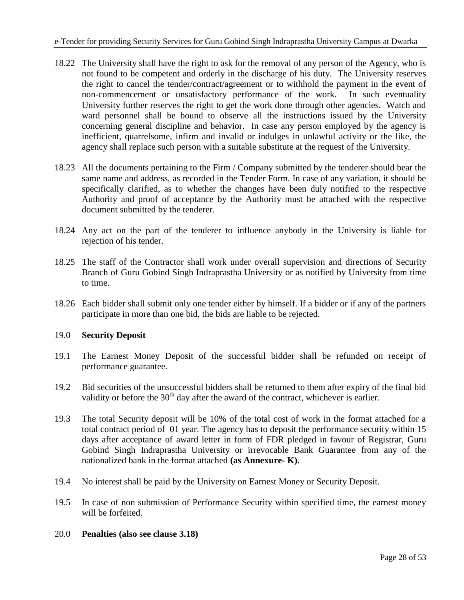- 18.22 The University shall have the right to ask for the removal of any person of the Agency, who is not found to be competent and orderly in the discharge of his duty. The University reserves the right to cancel the tender/contract/agreement or to withhold the payment in the event of non-commencement or unsatisfactory performance of the work. In such eventuality University further reserves the right to get the work done through other agencies. Watch and ward personnel shall be bound to observe all the instructions issued by the University concerning general discipline and behavior. In case any person employed by the agency is inefficient, quarrelsome, infirm and invalid or indulges in unlawful activity or the like, the agency shall replace such person with a suitable substitute at the request of the University.
- 18.23 All the documents pertaining to the Firm / Company submitted by the tenderer should bear the same name and address, as recorded in the Tender Form. In case of any variation, it should be specifically clarified, as to whether the changes have been duly notified to the respective Authority and proof of acceptance by the Authority must be attached with the respective document submitted by the tenderer.
- 18.24 Any act on the part of the tenderer to influence anybody in the University is liable for rejection of his tender.
- 18.25 The staff of the Contractor shall work under overall supervision and directions of Security Branch of Guru Gobind Singh Indraprastha University or as notified by University from time to time.
- 18.26 Each bidder shall submit only one tender either by himself. If a bidder or if any of the partners participate in more than one bid, the bids are liable to be rejected.

### 19.0 **Security Deposit**

- 19.1 The Earnest Money Deposit of the successful bidder shall be refunded on receipt of performance guarantee.
- 19.2 Bid securities of the unsuccessful bidders shall be returned to them after expiry of the final bid validity or before the  $30<sup>th</sup>$  day after the award of the contract, whichever is earlier.
- 19.3 The total Security deposit will be 10% of the total cost of work in the format attached for a total contract period of 01 year. The agency has to deposit the performance security within 15 days after acceptance of award letter in form of FDR pledged in favour of Registrar, Guru Gobind Singh Indraprastha University or irrevocable Bank Guarantee from any of the nationalized bank in the format attached **(as Annexure- K).**
- 19.4 No interest shall be paid by the University on Earnest Money or Security Deposit.
- 19.5 In case of non submission of Performance Security within specified time, the earnest money will be forfeited.
- 20.0 **Penalties (also see clause 3.18)**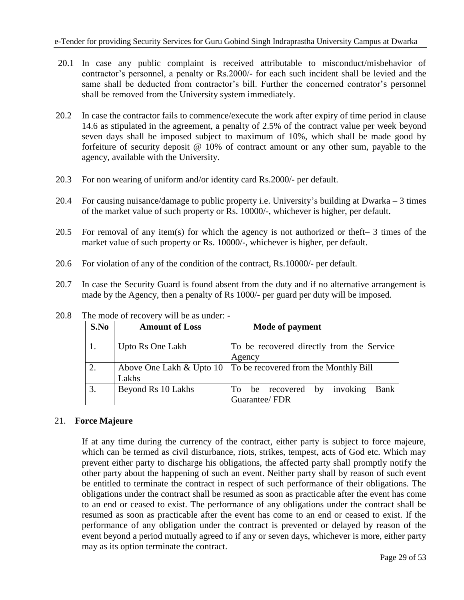- 20.1 In case any public complaint is received attributable to misconduct/misbehavior of contractor"s personnel, a penalty or Rs.2000/- for each such incident shall be levied and the same shall be deducted from contractor's bill. Further the concerned contrator's personnel shall be removed from the University system immediately.
- 20.2 In case the contractor fails to commence/execute the work after expiry of time period in clause 14.6 as stipulated in the agreement, a penalty of 2.5% of the contract value per week beyond seven days shall be imposed subject to maximum of 10%, which shall be made good by forfeiture of security deposit @ 10% of contract amount or any other sum, payable to the agency, available with the University.
- 20.3 For non wearing of uniform and/or identity card Rs.2000/- per default.
- 20.4 For causing nuisance/damage to public property i.e. University"s building at Dwarka 3 times of the market value of such property or Rs. 10000/-, whichever is higher, per default.
- 20.5 For removal of any item(s) for which the agency is not authorized or theft– 3 times of the market value of such property or Rs. 10000/-, whichever is higher, per default.
- 20.6 For violation of any of the condition of the contract, Rs.10000/- per default.
- 20.7 In case the Security Guard is found absent from the duty and if no alternative arrangement is made by the Agency, then a penalty of Rs 1000/- per guard per duty will be imposed.

| S.No | <b>Amount of Loss</b> | Mode of payment                                                       |
|------|-----------------------|-----------------------------------------------------------------------|
|      | Upto Rs One Lakh      | To be recovered directly from the Service<br>Agency                   |
|      | Lakhs                 | Above One Lakh & Upto $10 \mid$ To be recovered from the Monthly Bill |
| 3.   | Beyond Rs 10 Lakhs    | invoking<br>Bank<br>be recovered by<br>To<br>Guarantee/FDR            |

20.8 The mode of recovery will be as under: -

# 21. **Force Majeure**

If at any time during the currency of the contract, either party is subject to force majeure, which can be termed as civil disturbance, riots, strikes, tempest, acts of God etc. Which may prevent either party to discharge his obligations, the affected party shall promptly notify the other party about the happening of such an event. Neither party shall by reason of such event be entitled to terminate the contract in respect of such performance of their obligations. The obligations under the contract shall be resumed as soon as practicable after the event has come to an end or ceased to exist. The performance of any obligations under the contract shall be resumed as soon as practicable after the event has come to an end or ceased to exist. If the performance of any obligation under the contract is prevented or delayed by reason of the event beyond a period mutually agreed to if any or seven days, whichever is more, either party may as its option terminate the contract.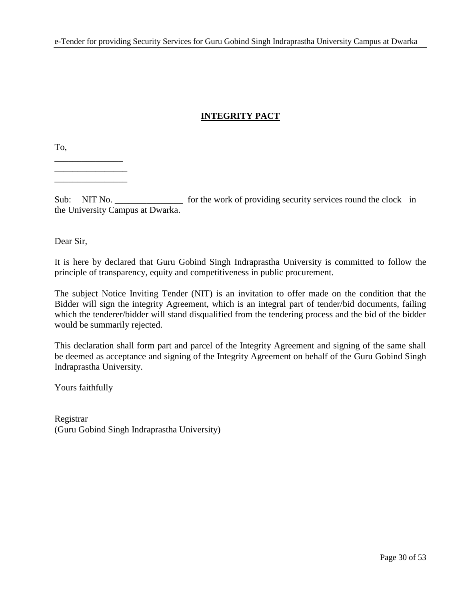# **INTEGRITY PACT**

To,

\_\_\_\_\_\_\_\_\_\_\_\_\_\_\_ \_\_\_\_\_\_\_\_\_\_\_\_\_\_\_\_ \_\_\_\_\_\_\_\_\_\_\_\_\_\_\_\_

Sub: NIT No. \_\_\_\_\_\_\_\_\_\_\_\_\_\_\_\_ for the work of providing security services round the clock in the University Campus at Dwarka.

Dear Sir,

It is here by declared that Guru Gobind Singh Indraprastha University is committed to follow the principle of transparency, equity and competitiveness in public procurement.

The subject Notice Inviting Tender (NIT) is an invitation to offer made on the condition that the Bidder will sign the integrity Agreement, which is an integral part of tender/bid documents, failing which the tenderer/bidder will stand disqualified from the tendering process and the bid of the bidder would be summarily rejected.

This declaration shall form part and parcel of the Integrity Agreement and signing of the same shall be deemed as acceptance and signing of the Integrity Agreement on behalf of the Guru Gobind Singh Indraprastha University.

Yours faithfully

Registrar (Guru Gobind Singh Indraprastha University)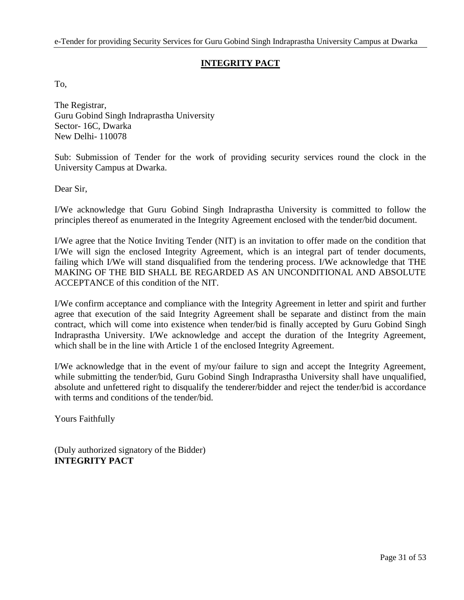# **INTEGRITY PACT**

To,

The Registrar, Guru Gobind Singh Indraprastha University Sector- 16C, Dwarka New Delhi- 110078

Sub: Submission of Tender for the work of providing security services round the clock in the University Campus at Dwarka.

Dear Sir,

I/We acknowledge that Guru Gobind Singh Indraprastha University is committed to follow the principles thereof as enumerated in the Integrity Agreement enclosed with the tender/bid document.

I/We agree that the Notice Inviting Tender (NIT) is an invitation to offer made on the condition that I/We will sign the enclosed Integrity Agreement, which is an integral part of tender documents, failing which I/We will stand disqualified from the tendering process. I/We acknowledge that THE MAKING OF THE BID SHALL BE REGARDED AS AN UNCONDITIONAL AND ABSOLUTE ACCEPTANCE of this condition of the NIT.

I/We confirm acceptance and compliance with the Integrity Agreement in letter and spirit and further agree that execution of the said Integrity Agreement shall be separate and distinct from the main contract, which will come into existence when tender/bid is finally accepted by Guru Gobind Singh Indraprastha University. I/We acknowledge and accept the duration of the Integrity Agreement, which shall be in the line with Article 1 of the enclosed Integrity Agreement.

I/We acknowledge that in the event of my/our failure to sign and accept the Integrity Agreement, while submitting the tender/bid, Guru Gobind Singh Indraprastha University shall have unqualified, absolute and unfettered right to disqualify the tenderer/bidder and reject the tender/bid is accordance with terms and conditions of the tender/bid.

Yours Faithfully

(Duly authorized signatory of the Bidder) **INTEGRITY PACT**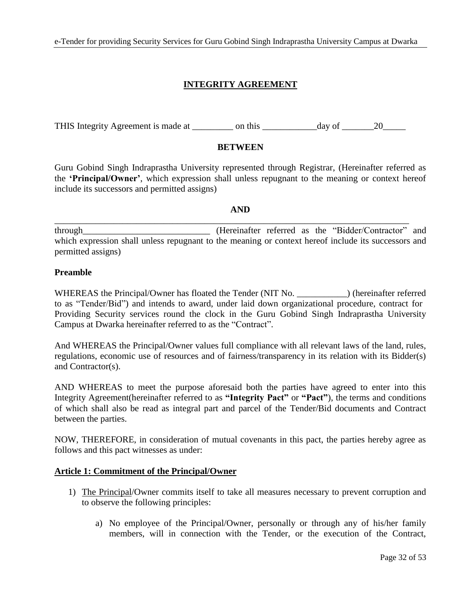# **INTEGRITY AGREEMENT**

THIS Integrity Agreement is made at  $\qquad \qquad$  on this  $\qquad \qquad$  day of  $\qquad \qquad$  20

### **BETWEEN**

Guru Gobind Singh Indraprastha University represented through Registrar, (Hereinafter referred as the **"Principal/Owner"**, which expression shall unless repugnant to the meaning or context hereof include its successors and permitted assigns)

#### **AND**

\_\_\_\_\_\_\_\_\_\_\_\_\_\_\_\_\_\_\_\_\_\_\_\_\_\_\_\_\_\_\_\_\_\_\_\_\_\_\_\_\_\_\_\_\_\_\_\_\_\_\_\_\_\_\_\_\_\_\_\_\_\_\_\_\_\_\_\_\_\_\_\_\_\_\_\_\_\_

through\_\_\_\_\_\_\_\_\_\_\_\_\_\_\_\_\_\_\_\_\_\_\_\_\_\_\_\_ (Hereinafter referred as the "Bidder/Contractor" and which expression shall unless repugnant to the meaning or context hereof include its successors and permitted assigns)

#### **Preamble**

WHEREAS the Principal/Owner has floated the Tender (NIT No. ) (hereinafter referred to as "Tender/Bid") and intends to award, under laid down organizational procedure, contract for Providing Security services round the clock in the Guru Gobind Singh Indraprastha University Campus at Dwarka hereinafter referred to as the "Contract".

And WHEREAS the Principal/Owner values full compliance with all relevant laws of the land, rules, regulations, economic use of resources and of fairness/transparency in its relation with its Bidder(s) and Contractor(s).

AND WHEREAS to meet the purpose aforesaid both the parties have agreed to enter into this Integrity Agreement(hereinafter referred to as **"Integrity Pact"** or **"Pact"**), the terms and conditions of which shall also be read as integral part and parcel of the Tender/Bid documents and Contract between the parties.

NOW, THEREFORE, in consideration of mutual covenants in this pact, the parties hereby agree as follows and this pact witnesses as under:

### **Article 1: Commitment of the Principal/Owner**

- 1) The Principal/Owner commits itself to take all measures necessary to prevent corruption and to observe the following principles:
	- a) No employee of the Principal/Owner, personally or through any of his/her family members, will in connection with the Tender, or the execution of the Contract,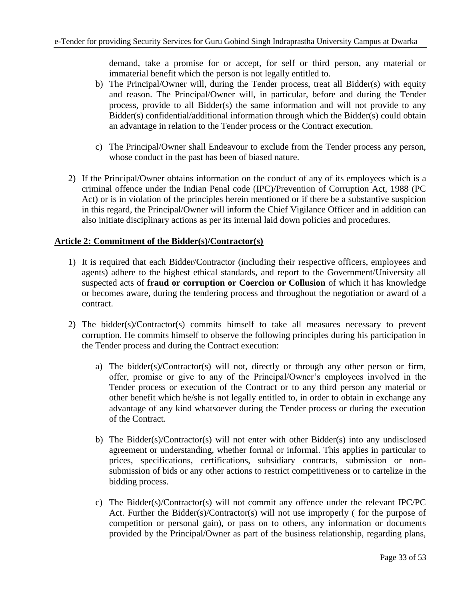demand, take a promise for or accept, for self or third person, any material or immaterial benefit which the person is not legally entitled to.

- b) The Principal/Owner will, during the Tender process, treat all Bidder(s) with equity and reason. The Principal/Owner will, in particular, before and during the Tender process, provide to all Bidder(s) the same information and will not provide to any Bidder(s) confidential/additional information through which the Bidder(s) could obtain an advantage in relation to the Tender process or the Contract execution.
- c) The Principal/Owner shall Endeavour to exclude from the Tender process any person, whose conduct in the past has been of biased nature.
- 2) If the Principal/Owner obtains information on the conduct of any of its employees which is a criminal offence under the Indian Penal code (IPC)/Prevention of Corruption Act, 1988 (PC Act) or is in violation of the principles herein mentioned or if there be a substantive suspicion in this regard, the Principal/Owner will inform the Chief Vigilance Officer and in addition can also initiate disciplinary actions as per its internal laid down policies and procedures.

### **Article 2: Commitment of the Bidder(s)/Contractor(s)**

- 1) It is required that each Bidder/Contractor (including their respective officers, employees and agents) adhere to the highest ethical standards, and report to the Government/University all suspected acts of **fraud or corruption or Coercion or Collusion** of which it has knowledge or becomes aware, during the tendering process and throughout the negotiation or award of a contract.
- 2) The bidder(s)/Contractor(s) commits himself to take all measures necessary to prevent corruption. He commits himself to observe the following principles during his participation in the Tender process and during the Contract execution:
	- a) The bidder(s)/Contractor(s) will not, directly or through any other person or firm, offer, promise or give to any of the Principal/Owner"s employees involved in the Tender process or execution of the Contract or to any third person any material or other benefit which he/she is not legally entitled to, in order to obtain in exchange any advantage of any kind whatsoever during the Tender process or during the execution of the Contract.
	- b) The Bidder(s)/Contractor(s) will not enter with other Bidder(s) into any undisclosed agreement or understanding, whether formal or informal. This applies in particular to prices, specifications, certifications, subsidiary contracts, submission or nonsubmission of bids or any other actions to restrict competitiveness or to cartelize in the bidding process.
	- c) The Bidder(s)/Contractor(s) will not commit any offence under the relevant IPC/PC Act. Further the Bidder(s)/Contractor(s) will not use improperly ( for the purpose of competition or personal gain), or pass on to others, any information or documents provided by the Principal/Owner as part of the business relationship, regarding plans,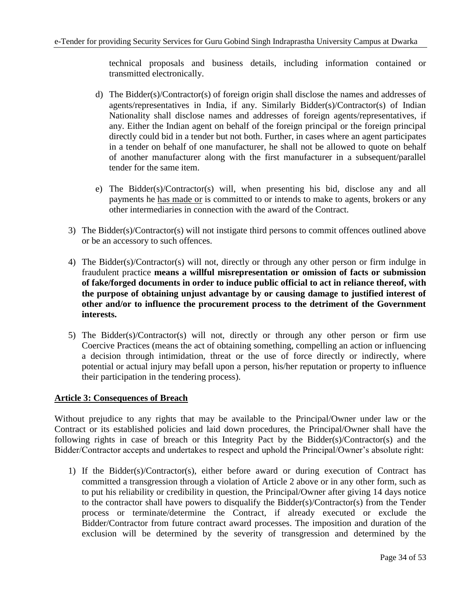technical proposals and business details, including information contained or transmitted electronically.

- d) The Bidder(s)/Contractor(s) of foreign origin shall disclose the names and addresses of agents/representatives in India, if any. Similarly Bidder(s)/Contractor(s) of Indian Nationality shall disclose names and addresses of foreign agents/representatives, if any. Either the Indian agent on behalf of the foreign principal or the foreign principal directly could bid in a tender but not both. Further, in cases where an agent participates in a tender on behalf of one manufacturer, he shall not be allowed to quote on behalf of another manufacturer along with the first manufacturer in a subsequent/parallel tender for the same item.
- e) The Bidder(s)/Contractor(s) will, when presenting his bid, disclose any and all payments he has made or is committed to or intends to make to agents, brokers or any other intermediaries in connection with the award of the Contract.
- 3) The Bidder(s)/Contractor(s) will not instigate third persons to commit offences outlined above or be an accessory to such offences.
- 4) The Bidder(s)/Contractor(s) will not, directly or through any other person or firm indulge in fraudulent practice **means a willful misrepresentation or omission of facts or submission of fake/forged documents in order to induce public official to act in reliance thereof, with the purpose of obtaining unjust advantage by or causing damage to justified interest of other and/or to influence the procurement process to the detriment of the Government interests.**
- 5) The Bidder(s)/Contractor(s) will not, directly or through any other person or firm use Coercive Practices (means the act of obtaining something, compelling an action or influencing a decision through intimidation, threat or the use of force directly or indirectly, where potential or actual injury may befall upon a person, his/her reputation or property to influence their participation in the tendering process).

### **Article 3: Consequences of Breach**

Without prejudice to any rights that may be available to the Principal/Owner under law or the Contract or its established policies and laid down procedures, the Principal/Owner shall have the following rights in case of breach or this Integrity Pact by the Bidder(s)/Contractor(s) and the Bidder/Contractor accepts and undertakes to respect and uphold the Principal/Owner's absolute right:

1) If the Bidder(s)/Contractor(s), either before award or during execution of Contract has committed a transgression through a violation of Article 2 above or in any other form, such as to put his reliability or credibility in question, the Principal/Owner after giving 14 days notice to the contractor shall have powers to disqualify the Bidder(s)/Contractor(s) from the Tender process or terminate/determine the Contract, if already executed or exclude the Bidder/Contractor from future contract award processes. The imposition and duration of the exclusion will be determined by the severity of transgression and determined by the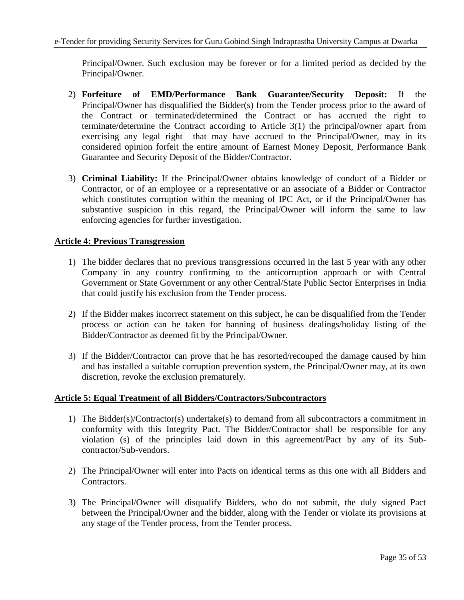Principal/Owner. Such exclusion may be forever or for a limited period as decided by the Principal/Owner.

- 2) **Forfeiture of EMD/Performance Bank Guarantee/Security Deposit:** If the Principal/Owner has disqualified the Bidder(s) from the Tender process prior to the award of the Contract or terminated/determined the Contract or has accrued the right to terminate/determine the Contract according to Article 3(1) the principal/owner apart from exercising any legal right that may have accrued to the Principal/Owner, may in its considered opinion forfeit the entire amount of Earnest Money Deposit, Performance Bank Guarantee and Security Deposit of the Bidder/Contractor.
- 3) **Criminal Liability:** If the Principal/Owner obtains knowledge of conduct of a Bidder or Contractor, or of an employee or a representative or an associate of a Bidder or Contractor which constitutes corruption within the meaning of IPC Act, or if the Principal/Owner has substantive suspicion in this regard, the Principal/Owner will inform the same to law enforcing agencies for further investigation.

### **Article 4: Previous Transgression**

- 1) The bidder declares that no previous transgressions occurred in the last 5 year with any other Company in any country confirming to the anticorruption approach or with Central Government or State Government or any other Central/State Public Sector Enterprises in India that could justify his exclusion from the Tender process.
- 2) If the Bidder makes incorrect statement on this subject, he can be disqualified from the Tender process or action can be taken for banning of business dealings/holiday listing of the Bidder/Contractor as deemed fit by the Principal/Owner.
- 3) If the Bidder/Contractor can prove that he has resorted/recouped the damage caused by him and has installed a suitable corruption prevention system, the Principal/Owner may, at its own discretion, revoke the exclusion prematurely.

### **Article 5: Equal Treatment of all Bidders/Contractors/Subcontractors**

- 1) The Bidder(s)/Contractor(s) undertake(s) to demand from all subcontractors a commitment in conformity with this Integrity Pact. The Bidder/Contractor shall be responsible for any violation (s) of the principles laid down in this agreement/Pact by any of its Subcontractor/Sub-vendors.
- 2) The Principal/Owner will enter into Pacts on identical terms as this one with all Bidders and Contractors.
- 3) The Principal/Owner will disqualify Bidders, who do not submit, the duly signed Pact between the Principal/Owner and the bidder, along with the Tender or violate its provisions at any stage of the Tender process, from the Tender process.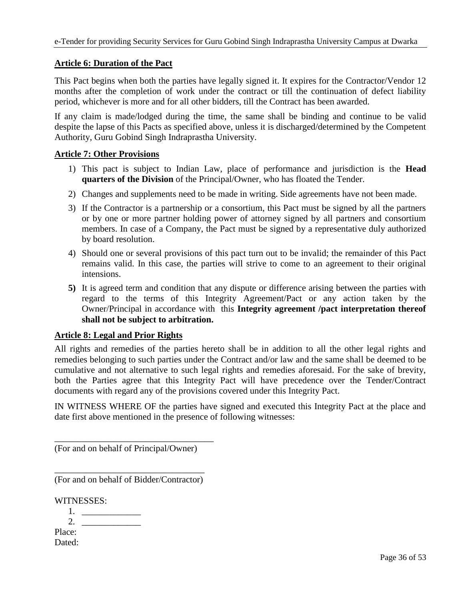### **Article 6: Duration of the Pact**

This Pact begins when both the parties have legally signed it. It expires for the Contractor/Vendor 12 months after the completion of work under the contract or till the continuation of defect liability period, whichever is more and for all other bidders, till the Contract has been awarded.

If any claim is made/lodged during the time, the same shall be binding and continue to be valid despite the lapse of this Pacts as specified above, unless it is discharged/determined by the Competent Authority, Guru Gobind Singh Indraprastha University.

#### **Article 7: Other Provisions**

- 1) This pact is subject to Indian Law, place of performance and jurisdiction is the **Head quarters of the Division** of the Principal/Owner, who has floated the Tender.
- 2) Changes and supplements need to be made in writing. Side agreements have not been made.
- 3) If the Contractor is a partnership or a consortium, this Pact must be signed by all the partners or by one or more partner holding power of attorney signed by all partners and consortium members. In case of a Company, the Pact must be signed by a representative duly authorized by board resolution.
- 4) Should one or several provisions of this pact turn out to be invalid; the remainder of this Pact remains valid. In this case, the parties will strive to come to an agreement to their original intensions.
- **5)** It is agreed term and condition that any dispute or difference arising between the parties with regard to the terms of this Integrity Agreement/Pact or any action taken by the Owner/Principal in accordance with this **Integrity agreement /pact interpretation thereof shall not be subject to arbitration.**

#### **Article 8: Legal and Prior Rights**

All rights and remedies of the parties hereto shall be in addition to all the other legal rights and remedies belonging to such parties under the Contract and/or law and the same shall be deemed to be cumulative and not alternative to such legal rights and remedies aforesaid. For the sake of brevity, both the Parties agree that this Integrity Pact will have precedence over the Tender/Contract documents with regard any of the provisions covered under this Integrity Pact.

IN WITNESS WHERE OF the parties have signed and executed this Integrity Pact at the place and date first above mentioned in the presence of following witnesses:

(For and on behalf of Principal/Owner)

\_\_\_\_\_\_\_\_\_\_\_\_\_\_\_\_\_\_\_\_\_\_\_\_\_\_\_\_\_\_\_\_\_\_\_

\_\_\_\_\_\_\_\_\_\_\_\_\_\_\_\_\_\_\_\_\_\_\_\_\_\_\_\_\_\_\_\_\_ (For and on behalf of Bidder/Contractor)

WITNESSES:

1. 2. Place: Dated: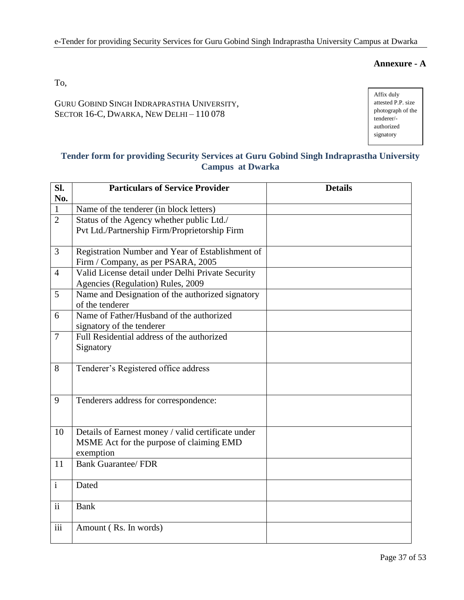### **Annexure - A**

To,

GURU GOBIND SINGH INDRAPRASTHA UNIVERSITY, SECTOR 16-C, DWARKA, NEW DELHI – 110 078

Affix duly attested P.P. size photograph of the tenderer/ authorized signatory

# **Tender form for providing Security Services at Guru Gobind Singh Indraprastha University Campus at Dwarka**

| Sl.                      | <b>Particulars of Service Provider</b>             | <b>Details</b> |
|--------------------------|----------------------------------------------------|----------------|
| No.                      |                                                    |                |
| $\mathbf{1}$             | Name of the tenderer (in block letters)            |                |
| $\overline{2}$           | Status of the Agency whether public Ltd./          |                |
|                          | Pvt Ltd./Partnership Firm/Proprietorship Firm      |                |
|                          |                                                    |                |
| 3                        | Registration Number and Year of Establishment of   |                |
|                          | Firm / Company, as per PSARA, 2005                 |                |
| $\overline{4}$           | Valid License detail under Delhi Private Security  |                |
|                          | Agencies (Regulation) Rules, 2009                  |                |
| 5                        | Name and Designation of the authorized signatory   |                |
|                          | of the tenderer                                    |                |
| 6                        | Name of Father/Husband of the authorized           |                |
|                          | signatory of the tenderer                          |                |
| $\overline{7}$           | Full Residential address of the authorized         |                |
|                          | Signatory                                          |                |
|                          |                                                    |                |
| 8                        | Tenderer's Registered office address               |                |
|                          |                                                    |                |
|                          |                                                    |                |
| 9                        | Tenderers address for correspondence:              |                |
|                          |                                                    |                |
|                          |                                                    |                |
| 10                       | Details of Earnest money / valid certificate under |                |
|                          | MSME Act for the purpose of claiming EMD           |                |
|                          | exemption                                          |                |
| 11                       | <b>Bank Guarantee/ FDR</b>                         |                |
|                          |                                                    |                |
| $\mathbf{i}$             | Dated                                              |                |
|                          |                                                    |                |
| $\overline{\textbf{ii}}$ | <b>Bank</b>                                        |                |
|                          |                                                    |                |
| $\overline{iii}$         | Amount (Rs. In words)                              |                |
|                          |                                                    |                |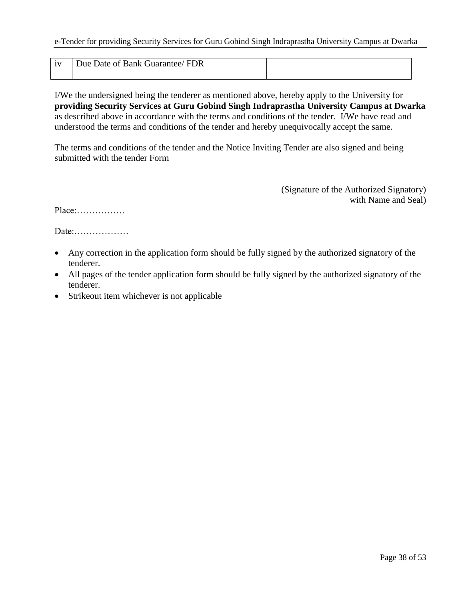| 1 <sub>1</sub> | Guarantee/FDR<br>Due Date of Bank 0 |  |
|----------------|-------------------------------------|--|
|                |                                     |  |

I/We the undersigned being the tenderer as mentioned above, hereby apply to the University for **providing Security Services at Guru Gobind Singh Indraprastha University Campus at Dwarka**  as described above in accordance with the terms and conditions of the tender. I/We have read and understood the terms and conditions of the tender and hereby unequivocally accept the same.

The terms and conditions of the tender and the Notice Inviting Tender are also signed and being submitted with the tender Form

> (Signature of the Authorized Signatory) with Name and Seal)

Place:…………….

Date:………………

- Any correction in the application form should be fully signed by the authorized signatory of the tenderer.
- All pages of the tender application form should be fully signed by the authorized signatory of the tenderer.
- Strikeout item whichever is not applicable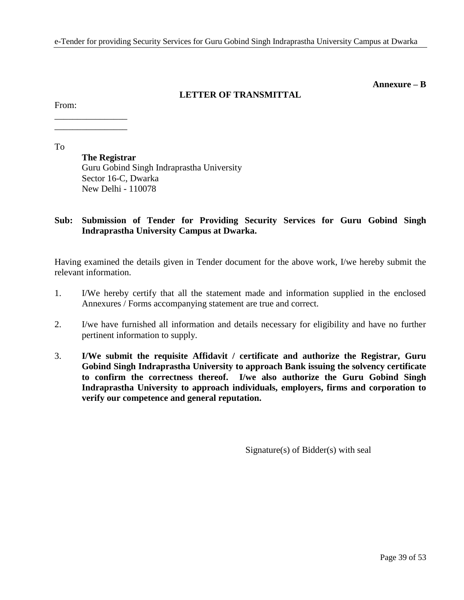#### **Annexure – B**

### **LETTER OF TRANSMITTAL**

From:

\_\_\_\_\_\_\_\_\_\_\_\_\_\_\_\_ \_\_\_\_\_\_\_\_\_\_\_\_\_\_\_\_

To

**The Registrar** Guru Gobind Singh Indraprastha University Sector 16-C, Dwarka New Delhi - 110078

### **Sub: Submission of Tender for Providing Security Services for Guru Gobind Singh Indraprastha University Campus at Dwarka.**

Having examined the details given in Tender document for the above work, I/we hereby submit the relevant information.

- 1. I/We hereby certify that all the statement made and information supplied in the enclosed Annexures / Forms accompanying statement are true and correct.
- 2. I/we have furnished all information and details necessary for eligibility and have no further pertinent information to supply.
- 3. **I/We submit the requisite Affidavit / certificate and authorize the Registrar, Guru Gobind Singh Indraprastha University to approach Bank issuing the solvency certificate to confirm the correctness thereof. I/we also authorize the Guru Gobind Singh Indraprastha University to approach individuals, employers, firms and corporation to verify our competence and general reputation.**

Signature(s) of Bidder(s) with seal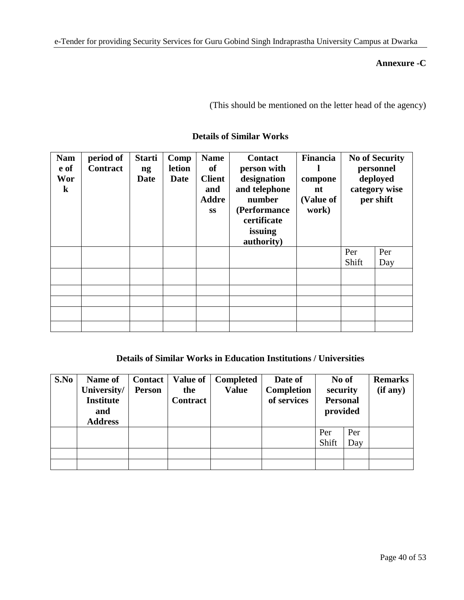### **Annexure -C**

(This should be mentioned on the letter head of the agency)

| <b>Nam</b><br>e of<br>Wor<br>$\bf k$ | period of<br><b>Contract</b> | <b>Starti</b><br>ng<br><b>Date</b> | Comp<br>letion<br><b>Date</b> | <b>Name</b><br>of<br><b>Client</b><br>and<br><b>Addre</b><br><b>SS</b> | <b>Contact</b><br>person with<br>designation<br>and telephone<br>number<br>(Performance<br>certificate<br>issuing<br>authority) | Financia<br>compone<br>nt<br>(Value of<br>work) |       | <b>No of Security</b><br>personnel<br>deployed<br>category wise<br>per shift |
|--------------------------------------|------------------------------|------------------------------------|-------------------------------|------------------------------------------------------------------------|---------------------------------------------------------------------------------------------------------------------------------|-------------------------------------------------|-------|------------------------------------------------------------------------------|
|                                      |                              |                                    |                               |                                                                        |                                                                                                                                 |                                                 | Per   | Per                                                                          |
|                                      |                              |                                    |                               |                                                                        |                                                                                                                                 |                                                 | Shift | Day                                                                          |
|                                      |                              |                                    |                               |                                                                        |                                                                                                                                 |                                                 |       |                                                                              |
|                                      |                              |                                    |                               |                                                                        |                                                                                                                                 |                                                 |       |                                                                              |
|                                      |                              |                                    |                               |                                                                        |                                                                                                                                 |                                                 |       |                                                                              |
|                                      |                              |                                    |                               |                                                                        |                                                                                                                                 |                                                 |       |                                                                              |
|                                      |                              |                                    |                               |                                                                        |                                                                                                                                 |                                                 |       |                                                                              |

## **Details of Similar Works**

## **Details of Similar Works in Education Institutions / Universities**

| S.No | Name of<br>University/  | <b>Contact</b><br><b>Person</b> | <b>Value of</b><br>the | <b>Completed</b><br><b>Value</b> | Date of<br>Completion | No of<br>security           |     | <b>Remarks</b><br>(if any) |
|------|-------------------------|---------------------------------|------------------------|----------------------------------|-----------------------|-----------------------------|-----|----------------------------|
|      | <b>Institute</b><br>and |                                 | <b>Contract</b>        |                                  | of services           | <b>Personal</b><br>provided |     |                            |
|      | <b>Address</b>          |                                 |                        |                                  |                       |                             |     |                            |
|      |                         |                                 |                        |                                  |                       | Per                         | Per |                            |
|      |                         |                                 |                        |                                  |                       | Shift                       | Day |                            |
|      |                         |                                 |                        |                                  |                       |                             |     |                            |
|      |                         |                                 |                        |                                  |                       |                             |     |                            |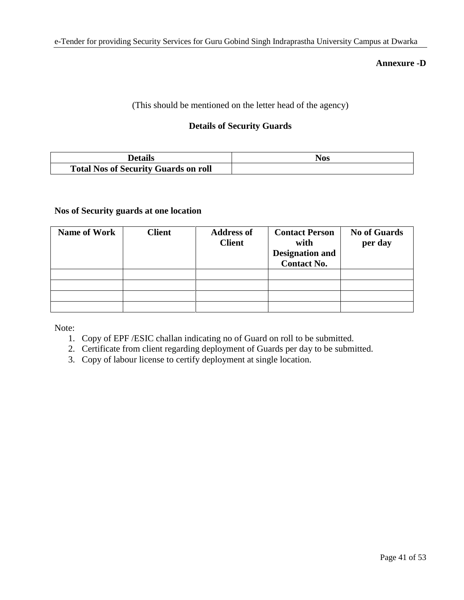#### **Annexure -D**

(This should be mentioned on the letter head of the agency)

### **Details of Security Guards**

| Details                                     | Nos |
|---------------------------------------------|-----|
| <b>Total Nos of Security Guards on roll</b> |     |

### **Nos of Security guards at one location**

| <b>Name of Work</b> | <b>Client</b> | <b>Address of</b><br><b>Client</b> | <b>Contact Person</b><br>with<br><b>Designation and</b><br><b>Contact No.</b> | <b>No of Guards</b><br>per day |
|---------------------|---------------|------------------------------------|-------------------------------------------------------------------------------|--------------------------------|
|                     |               |                                    |                                                                               |                                |
|                     |               |                                    |                                                                               |                                |
|                     |               |                                    |                                                                               |                                |
|                     |               |                                    |                                                                               |                                |

Note:

- 1. Copy of EPF /ESIC challan indicating no of Guard on roll to be submitted.
- 2. Certificate from client regarding deployment of Guards per day to be submitted.
- 3. Copy of labour license to certify deployment at single location.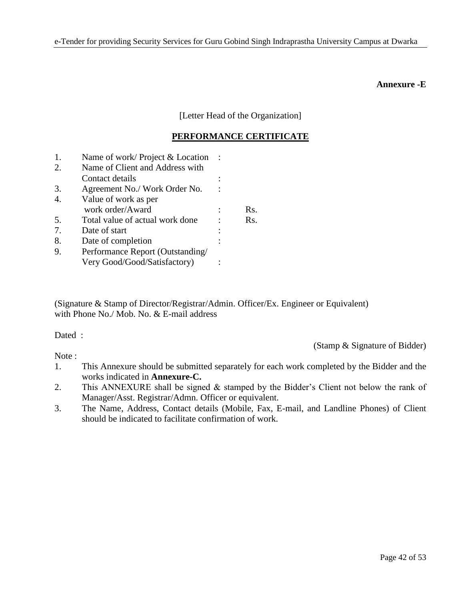#### **Annexure -E**

[Letter Head of the Organization]

### **PERFORMANCE CERTIFICATE**

| 1. | Name of work/Project & Location  |     |
|----|----------------------------------|-----|
| 2. | Name of Client and Address with  |     |
|    | Contact details                  |     |
| 3. | Agreement No./ Work Order No.    |     |
| 4. | Value of work as per             |     |
|    | work order/Award                 | Rs. |
| 5. | Total value of actual work done  | Rs. |
| 7. | Date of start                    |     |
| 8. | Date of completion               |     |
| 9. | Performance Report (Outstanding/ |     |
|    | Very Good/Good/Satisfactory)     |     |

(Signature & Stamp of Director/Registrar/Admin. Officer/Ex. Engineer or Equivalent) with Phone No./ Mob. No. & E-mail address

Dated :

Note:

(Stamp & Signature of Bidder)

- 1. This Annexure should be submitted separately for each work completed by the Bidder and the works indicated in **Annexure-C.**
- 2. This ANNEXURE shall be signed & stamped by the Bidder"s Client not below the rank of Manager/Asst. Registrar/Admn. Officer or equivalent.
- 3. The Name, Address, Contact details (Mobile, Fax, E-mail, and Landline Phones) of Client should be indicated to facilitate confirmation of work.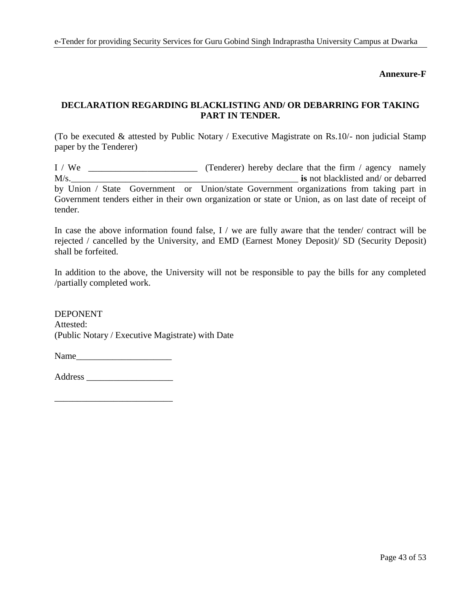**Annexure-F**

# **DECLARATION REGARDING BLACKLISTING AND/ OR DEBARRING FOR TAKING PART IN TENDER.**

(To be executed & attested by Public Notary / Executive Magistrate on Rs.10/- non judicial Stamp paper by the Tenderer)

I / We \_\_\_\_\_\_\_\_\_\_\_\_\_\_\_\_\_\_\_\_\_\_\_\_ (Tenderer) hereby declare that the firm / agency namely M/s.\_\_\_\_\_\_\_\_\_\_\_\_\_\_\_\_\_\_\_\_\_\_\_\_\_\_\_\_\_\_\_\_\_\_\_\_\_\_\_\_\_\_\_\_\_\_\_\_\_\_ **is** not blacklisted and/ or debarred by Union / State Government or Union/state Government organizations from taking part in Government tenders either in their own organization or state or Union, as on last date of receipt of tender.

In case the above information found false, I / we are fully aware that the tender/ contract will be rejected / cancelled by the University, and EMD (Earnest Money Deposit)/ SD (Security Deposit) shall be forfeited.

In addition to the above, the University will not be responsible to pay the bills for any completed /partially completed work.

DEPONENT Attested: (Public Notary / Executive Magistrate) with Date

Name

Address \_\_\_\_\_\_\_\_\_\_\_\_\_\_\_\_\_\_\_

\_\_\_\_\_\_\_\_\_\_\_\_\_\_\_\_\_\_\_\_\_\_\_\_\_\_

Page 43 of 53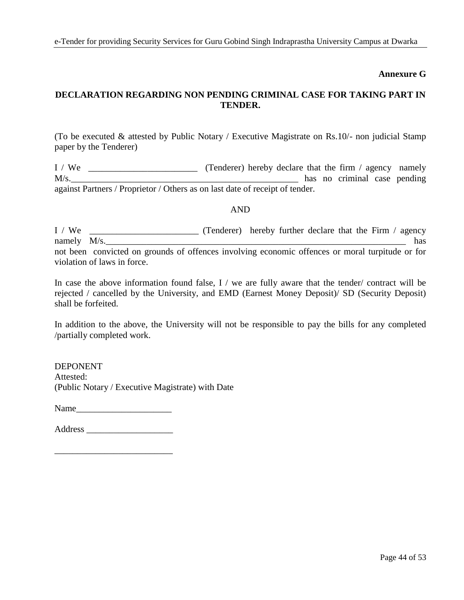### **Annexure G**

### **DECLARATION REGARDING NON PENDING CRIMINAL CASE FOR TAKING PART IN TENDER.**

(To be executed & attested by Public Notary / Executive Magistrate on Rs.10/- non judicial Stamp paper by the Tenderer)

I / We \_\_\_\_\_\_\_\_\_\_\_\_\_\_\_\_\_\_\_\_\_\_\_\_ (Tenderer) hereby declare that the firm / agency namely M/s. against Partners / Proprietor / Others as on last date of receipt of tender.

#### AND

I / We \_\_\_\_\_\_\_\_\_\_\_\_\_\_\_\_\_\_\_\_\_\_\_\_ (Tenderer) hereby further declare that the Firm / agency namely  $M/s$ . not been convicted on grounds of offences involving economic offences or moral turpitude or for violation of laws in force.

In case the above information found false, I / we are fully aware that the tender/ contract will be rejected / cancelled by the University, and EMD (Earnest Money Deposit)/ SD (Security Deposit) shall be forfeited.

In addition to the above, the University will not be responsible to pay the bills for any completed /partially completed work.

DEPONENT Attested: (Public Notary / Executive Magistrate) with Date

Name\_\_\_\_\_\_\_\_\_\_\_\_\_\_\_\_\_\_\_\_\_

Address \_\_\_\_\_\_\_\_\_\_\_\_\_\_\_\_\_\_\_

\_\_\_\_\_\_\_\_\_\_\_\_\_\_\_\_\_\_\_\_\_\_\_\_\_\_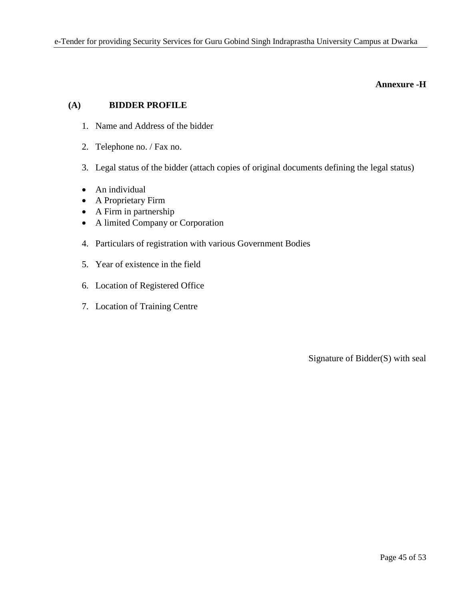#### **Annexure -H**

## **(A) BIDDER PROFILE**

- 1. Name and Address of the bidder
- 2. Telephone no. / Fax no.
- 3. Legal status of the bidder (attach copies of original documents defining the legal status)
- An individual
- A Proprietary Firm
- A Firm in partnership
- A limited Company or Corporation
- 4. Particulars of registration with various Government Bodies
- 5. Year of existence in the field
- 6. Location of Registered Office
- 7. Location of Training Centre

Signature of Bidder(S) with seal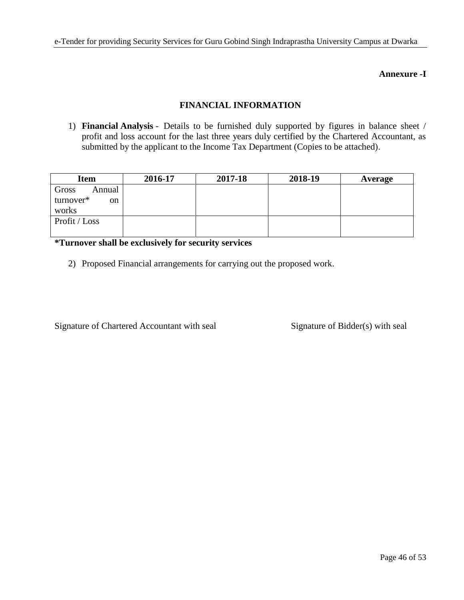### **Annexure -I**

### **FINANCIAL INFORMATION**

1) **Financial Analysis** - Details to be furnished duly supported by figures in balance sheet / profit and loss account for the last three years duly certified by the Chartered Accountant, as submitted by the applicant to the Income Tax Department (Copies to be attached).

| <b>Item</b>                | 2016-17 | 2017-18 | 2018-19 | Average |
|----------------------------|---------|---------|---------|---------|
| Gross<br>Annual            |         |         |         |         |
| turnover*<br><sub>on</sub> |         |         |         |         |
| works                      |         |         |         |         |
| Profit / Loss              |         |         |         |         |
|                            |         |         |         |         |

**\*Turnover shall be exclusively for security services**

2) Proposed Financial arrangements for carrying out the proposed work.

Signature of Chartered Accountant with seal Signature of Bidder(s) with seal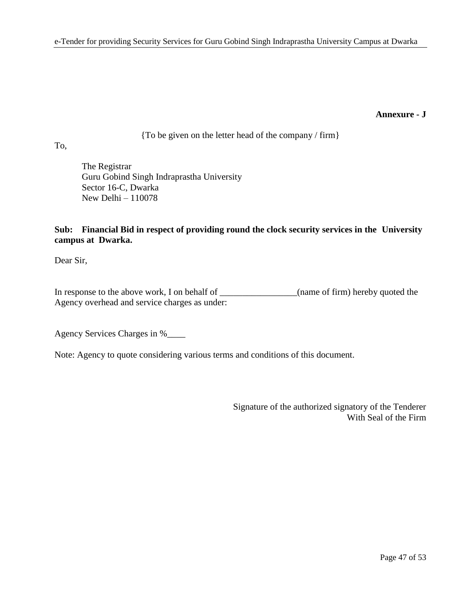#### **Annexure - J**

{To be given on the letter head of the company / firm}

To,

The Registrar Guru Gobind Singh Indraprastha University Sector 16-C, Dwarka New Delhi – 110078

# **Sub: Financial Bid in respect of providing round the clock security services in the University campus at Dwarka.**

Dear Sir,

In response to the above work, I on behalf of \_\_\_\_\_\_\_\_\_\_\_\_\_(name of firm) hereby quoted the Agency overhead and service charges as under:

Agency Services Charges in %\_\_\_\_

Note: Agency to quote considering various terms and conditions of this document.

Signature of the authorized signatory of the Tenderer With Seal of the Firm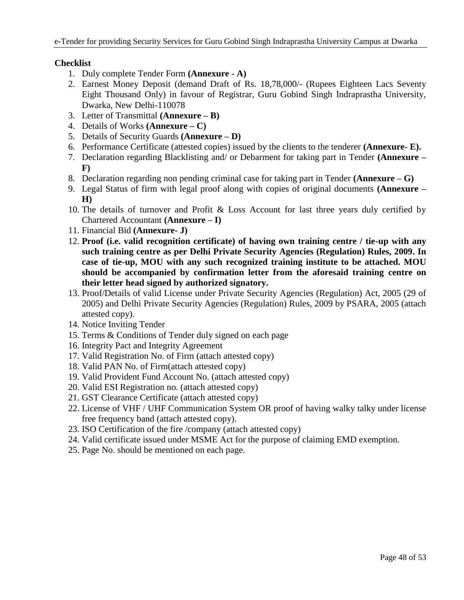### **Checklist**

- 1. Duly complete Tender Form **(Annexure - A)**
- 2. Earnest Money Deposit (demand Draft of Rs. 18,78,000/- (Rupees Eighteen Lacs Seventy Eight Thousand Only) in favour of Registrar, Guru Gobind Singh Indraprastha University, Dwarka, New Delhi-110078
- 3. Letter of Transmittal **(Annexure – B)**
- 4. Details of Works **(Annexure – C)**
- 5. Details of Security Guards **(Annexure – D)**
- 6. Performance Certificate (attested copies) issued by the clients to the tenderer **(Annexure- E).**
- 7. Declaration regarding Blacklisting and/ or Debarment for taking part in Tender **(Annexure – F)**
- 8. Declaration regarding non pending criminal case for taking part in Tender **(Annexure – G)**
- 9. Legal Status of firm with legal proof along with copies of original documents **(Annexure – H)**
- 10. The details of turnover and Profit & Loss Account for last three years duly certified by Chartered Accountant **(Annexure – I)**
- 11. Financial Bid **(Annexure- J)**
- 12. **Proof (i.e. valid recognition certificate) of having own training centre / tie-up with any such training centre as per Delhi Private Security Agencies (Regulation) Rules, 2009. In case of tie-up, MOU with any such recognized training institute to be attached. MOU should be accompanied by confirmation letter from the aforesaid training centre on their letter head signed by authorized signatory.**
- 13. Proof/Details of valid License under Private Security Agencies (Regulation) Act, 2005 (29 of 2005) and Delhi Private Security Agencies (Regulation) Rules, 2009 by PSARA, 2005 (attach attested copy).
- 14. Notice Inviting Tender
- 15. Terms & Conditions of Tender duly signed on each page
- 16. Integrity Pact and Integrity Agreement
- 17. Valid Registration No. of Firm (attach attested copy)
- 18. Valid PAN No. of Firm(attach attested copy)
- 19. Valid Provident Fund Account No. (attach attested copy)
- 20. Valid ESI Registration no. (attach attested copy)
- 21. GST Clearance Certificate (attach attested copy)
- 22. License of VHF / UHF Communication System OR proof of having walky talky under license free frequency band (attach attested copy).
- 23. ISO Certification of the fire /company (attach attested copy)
- 24. Valid certificate issued under MSME Act for the purpose of claiming EMD exemption.
- 25. Page No. should be mentioned on each page.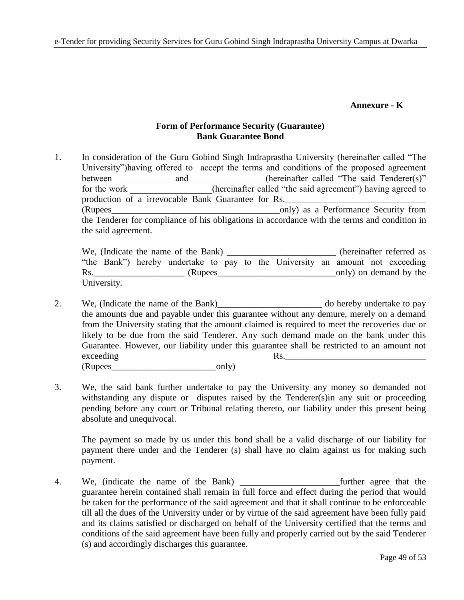### **Annexure - K**

### **Form of Performance Security (Guarantee) Bank Guarantee Bond**

1. In consideration of the Guru Gobind Singh Indraprastha University (hereinafter called "The University")having offered to accept the terms and conditions of the proposed agreement between and and (hereinafter called "The said Tenderer(s)" for the work (hereinafter called "the said agreement") having agreed to production of a irrevocable Bank Guarantee for Rs. (Rupees\_\_\_\_\_\_\_\_\_\_\_\_\_\_\_\_\_\_\_\_\_\_\_\_\_\_\_\_\_\_\_\_\_\_\_\_\_only) as a Performance Security from the Tenderer for compliance of his obligations in accordance with the terms and condition in the said agreement.

We, (Indicate the name of the Bank) \_\_\_\_\_\_\_\_\_\_\_\_\_\_\_\_\_\_\_\_\_\_\_ (hereinafter referred as "the Bank") hereby undertake to pay to the University an amount not exceeding Rs.\_\_\_\_\_\_\_\_\_\_\_\_\_\_\_\_\_\_\_\_ (Rupees\_\_\_\_\_\_\_\_\_\_\_\_\_\_\_\_\_\_\_\_\_\_\_\_\_\_only) on demand by the University.

- 2. We, (Indicate the name of the Bank)\_\_\_\_\_\_\_\_\_\_\_\_\_\_\_\_\_\_\_\_\_\_\_ do hereby undertake to pay the amounts due and payable under this guarantee without any demure, merely on a demand from the University stating that the amount claimed is required to meet the recoveries due or likely to be due from the said Tenderer. Any such demand made on the bank under this Guarantee. However, our liability under this guarantee shall be restricted to an amount not exceeding Rs. (Rupees only)
- 3. We, the said bank further undertake to pay the University any money so demanded not withstanding any dispute or disputes raised by the Tenderer(s) in any suit or proceeding pending before any court or Tribunal relating thereto, our liability under this present being absolute and unequivocal.

The payment so made by us under this bond shall be a valid discharge of our liability for payment there under and the Tenderer (s) shall have no claim against us for making such payment.

4. We, (indicate the name of the Bank) \_\_\_\_\_\_\_\_\_\_\_\_\_\_\_\_\_\_\_\_\_\_further agree that the guarantee herein contained shall remain in full force and effect during the period that would be taken for the performance of the said agreement and that it shall continue to be enforceable till all the dues of the University under or by virtue of the said agreement have been fully paid and its claims satisfied or discharged on behalf of the University certified that the terms and conditions of the said agreement have been fully and properly carried out by the said Tenderer (s) and accordingly discharges this guarantee.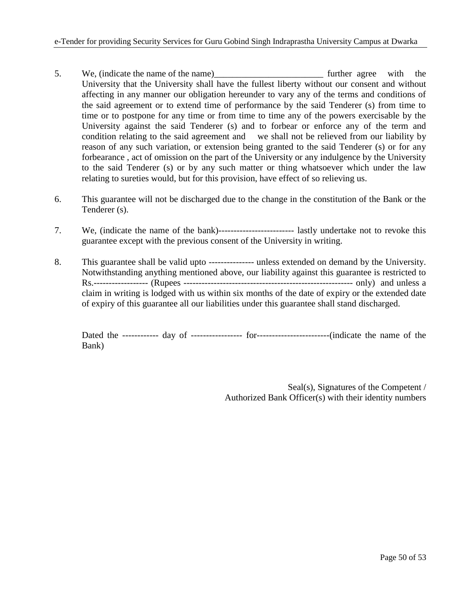- 5. We, (indicate the name of the name)\_\_\_\_\_\_\_\_\_\_\_\_\_\_\_\_\_\_\_\_\_\_\_\_ further agree with the University that the University shall have the fullest liberty without our consent and without affecting in any manner our obligation hereunder to vary any of the terms and conditions of the said agreement or to extend time of performance by the said Tenderer (s) from time to time or to postpone for any time or from time to time any of the powers exercisable by the University against the said Tenderer (s) and to forbear or enforce any of the term and condition relating to the said agreement and we shall not be relieved from our liability by reason of any such variation, or extension being granted to the said Tenderer (s) or for any forbearance , act of omission on the part of the University or any indulgence by the University to the said Tenderer (s) or by any such matter or thing whatsoever which under the law relating to sureties would, but for this provision, have effect of so relieving us.
- 6. This guarantee will not be discharged due to the change in the constitution of the Bank or the Tenderer (s).
- 7. We, (indicate the name of the bank)------------------------- lastly undertake not to revoke this guarantee except with the previous consent of the University in writing.
- 8. This guarantee shall be valid upto --------------- unless extended on demand by the University. Notwithstanding anything mentioned above, our liability against this guarantee is restricted to Rs.------------------ (Rupees -------------------------------------------------------- only) and unless a claim in writing is lodged with us within six months of the date of expiry or the extended date of expiry of this guarantee all our liabilities under this guarantee shall stand discharged.

Dated the ------------ day of ----------------- for------------------------(indicate the name of the Bank)

> Seal(s), Signatures of the Competent / Authorized Bank Officer(s) with their identity numbers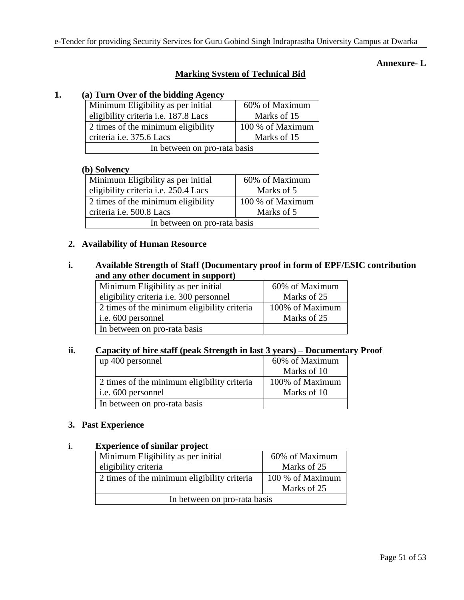### **Annexure- L**

# **Marking System of Technical Bid**

# **1. (a) Turn Over of the bidding Agency**

| Minimum Eligibility as per initial   | 60% of Maximum   |  |  |
|--------------------------------------|------------------|--|--|
| eligibility criteria i.e. 187.8 Lacs | Marks of 15      |  |  |
| 2 times of the minimum eligibility   | 100 % of Maximum |  |  |
| criteria i.e. 375.6 Lacs             | Marks of 15      |  |  |
| In between on pro-rata basis         |                  |  |  |

#### **(b) Solvency**

| ~ , ~ ~ - , ~ - - + ,                       |                  |  |  |
|---------------------------------------------|------------------|--|--|
| Minimum Eligibility as per initial          | 60% of Maximum   |  |  |
| eligibility criteria <i>i.e.</i> 250.4 Lacs | Marks of 5       |  |  |
| 2 times of the minimum eligibility          | 100 % of Maximum |  |  |
| criteria i.e. 500.8 Lacs                    | Marks of 5       |  |  |
| In between on pro-rata basis                |                  |  |  |

#### **2. Availability of Human Resource**

### **i. Available Strength of Staff (Documentary proof in form of EPF/ESIC contribution and any other document in support)**

| Minimum Eligibility as per initial          | 60% of Maximum  |
|---------------------------------------------|-----------------|
| eligibility criteria i.e. 300 personnel     | Marks of 25     |
| 2 times of the minimum eligibility criteria | 100% of Maximum |
| i.e. 600 personnel                          | Marks of 25     |
| In between on pro-rata basis                |                 |

### **ii. Capacity of hire staff (peak Strength in last 3 years) – Documentary Proof**

| up 400 personnel                            | 60% of Maximum  |
|---------------------------------------------|-----------------|
|                                             | Marks of 10     |
| 2 times of the minimum eligibility criteria | 100% of Maximum |
| i.e. 600 personnel                          | Marks of 10     |
| In between on pro-rata basis                |                 |

### **3. Past Experience**

#### i. **Experience of similar project**

| Minimum Eligibility as per initial          | 60% of Maximum   |  |  |
|---------------------------------------------|------------------|--|--|
| eligibility criteria                        | Marks of 25      |  |  |
| 2 times of the minimum eligibility criteria | 100 % of Maximum |  |  |
| Marks of 25                                 |                  |  |  |
| In between on pro-rata basis                |                  |  |  |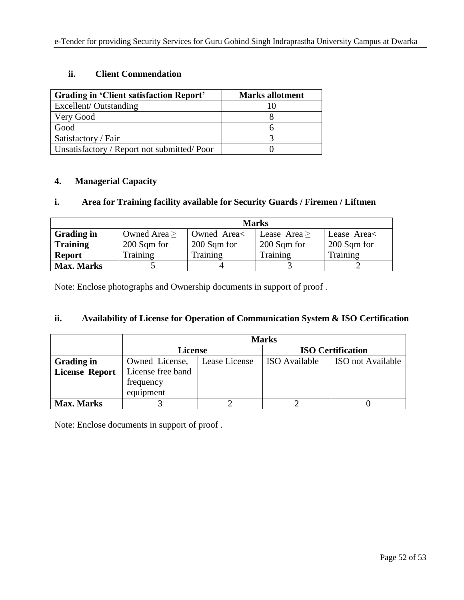# **ii. Client Commendation**

| Grading in 'Client satisfaction Report'    | <b>Marks allotment</b> |
|--------------------------------------------|------------------------|
| Excellent/Outstanding                      |                        |
| Very Good                                  |                        |
| Good                                       |                        |
| Satisfactory / Fair                        |                        |
| Unsatisfactory / Report not submitted/Poor |                        |

### **4. Managerial Capacity**

## **i. Area for Training facility available for Security Guards / Firemen / Liftmen**

|                   | <b>Marks</b>      |             |              |             |
|-------------------|-------------------|-------------|--------------|-------------|
| <b>Grading in</b> | Owned Area $\geq$ | Owned Area< | Lease Area > | Lease Area  |
| <b>Training</b>   | 200 Sqm for       | 200 Sqm for | 200 Sqm for  | 200 Sqm for |
| <b>Report</b>     | Training          | Training    | Training     | Training    |
| <b>Max. Marks</b> |                   |             |              |             |

Note: Enclose photographs and Ownership documents in support of proof .

## **ii. Availability of License for Operation of Communication System & ISO Certification**

|                       | <b>Marks</b>      |               |                          |                          |
|-----------------------|-------------------|---------------|--------------------------|--------------------------|
|                       | <b>License</b>    |               | <b>ISO Certification</b> |                          |
| <b>Grading in</b>     | Owned License,    | Lease License | <b>ISO</b> Available     | <b>ISO</b> not Available |
| <b>License Report</b> | License free band |               |                          |                          |
|                       | frequency         |               |                          |                          |
|                       | equipment         |               |                          |                          |
| <b>Max. Marks</b>     |                   |               |                          |                          |

Note: Enclose documents in support of proof .